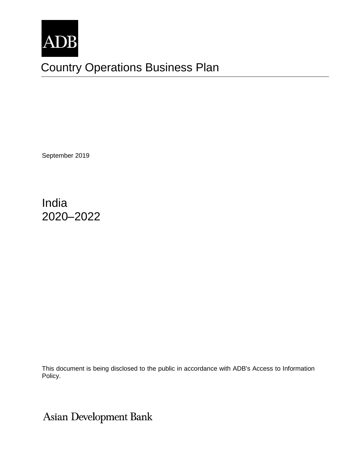

# Country Operations Business Plan

September 2019

India 2020–2022

This document is being disclosed to the public in accordance with ADB's Access to Information Policy.

Asian Development Bank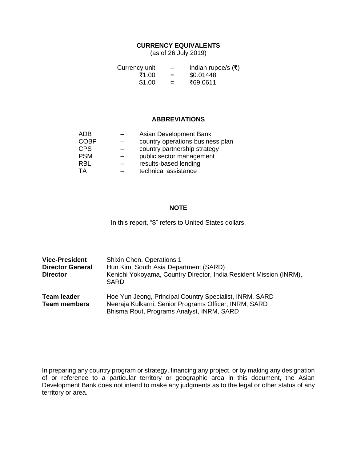#### **CURRENCY EQUIVALENTS**

(as of 26 July 2019)

| Currency unit | $\overline{\phantom{m}}$ | Indian rupee/s $(\xi)$ |
|---------------|--------------------------|------------------------|
| ₹1.00         | $=$                      | \$0.01448              |
| \$1.00        | $=$                      | ₹69.0611               |

#### **ABBREVIATIONS**

| ADB         | Asian Development Bank           |
|-------------|----------------------------------|
| <b>COBP</b> | country operations business plan |
| <b>CPS</b>  | country partnership strategy     |
| <b>PSM</b>  | public sector management         |
| RBL         | results-based lending            |
| TA          | technical assistance             |
|             |                                  |

#### **NOTE**

In this report, "\$" refers to United States dollars.

| <b>Vice-President</b><br><b>Director General</b><br><b>Director</b> | <b>Shixin Chen, Operations 1</b><br>Hun Kim, South Asia Department (SARD)<br>Kenichi Yokoyama, Country Director, India Resident Mission (INRM),<br><b>SARD</b> |
|---------------------------------------------------------------------|----------------------------------------------------------------------------------------------------------------------------------------------------------------|
| Team leader<br><b>Team members</b>                                  | Hoe Yun Jeong, Principal Country Specialist, INRM, SARD<br>Neeraja Kulkarni, Senior Programs Officer, INRM, SARD<br>Bhisma Rout, Programs Analyst, INRM, SARD  |

In preparing any country program or strategy, financing any project, or by making any designation of or reference to a particular territory or geographic area in this document, the Asian Development Bank does not intend to make any judgments as to the legal or other status of any territory or area.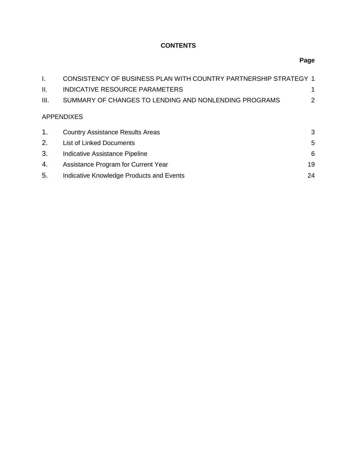### **CONTENTS**

| Ι.            | CONSISTENCY OF BUSINESS PLAN WITH COUNTRY PARTNERSHIP STRATEGY 1 |    |
|---------------|------------------------------------------------------------------|----|
| II.           | INDICATIVE RESOURCE PARAMETERS                                   | 1  |
| III.          | SUMMARY OF CHANGES TO LENDING AND NONLENDING PROGRAMS            | 2  |
|               | <b>APPENDIXES</b>                                                |    |
| $\mathbf 1$ . | <b>Country Assistance Results Areas</b>                          | 3  |
| 2.            | <b>List of Linked Documents</b>                                  | 5  |
| 3.            | Indicative Assistance Pipeline                                   | 6  |
| 4.            | Assistance Program for Current Year                              | 19 |
| 5.            | Indicative Knowledge Products and Events                         | 24 |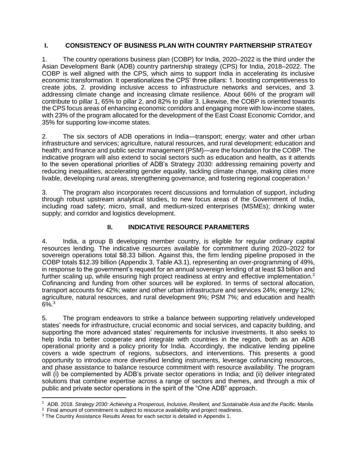#### <span id="page-4-0"></span>**I. CONSISTENCY OF BUSINESS PLAN WITH COUNTRY PARTNERSHIP STRATEGY**

1. The country operations business plan (COBP) for India, 2020–2022 is the third under the Asian Development Bank (ADB) country partnership strategy (CPS) for India, 2018–2022. The COBP is well aligned with the CPS, which aims to support India in accelerating its inclusive economic transformation. It operationalizes the CPS' three pillars: 1. boosting competitiveness to create jobs, 2. providing inclusive access to infrastructure networks and services, and 3. addressing climate change and increasing climate resilience. About 66% of the program will contribute to pillar 1, 65% to pillar 2, and 82% to pillar 3. Likewise, the COBP is oriented towards the CPS focus areas of enhancing economic corridors and engaging more with low-income states, with 23% of the program allocated for the development of the East Coast Economic Corridor, and 35% for supporting low-income states.

2. The six sectors of ADB operations in India—transport; energy; water and other urban infrastructure and services; agriculture, natural resources, and rural development; education and health; and finance and public sector management (PSM)—are the foundation for the COBP. The indicative program will also extend to social sectors such as education and health, as it attends to the seven operational priorities of ADB's Strategy 2030: addressing remaining poverty and reducing inequalities, accelerating gender equality, tackling climate change, making cities more livable, developing rural areas, strengthening governance, and fostering regional cooperation.<sup>1</sup>

3. The program also incorporates recent discussions and formulation of support, including through robust upstream analytical studies, to new focus areas of the Government of India, including road safety; micro, small, and medium-sized enterprises (MSMEs); drinking water supply; and corridor and logistics development.

#### **II. INDICATIVE RESOURCE PARAMETERS**

<span id="page-4-1"></span>4. India, a group B developing member country, is eligible for regular ordinary capital resources lending. The indicative resources available for commitment during 2020–2022 for sovereign operations total \$8.33 billion. Against this, the firm lending pipeline proposed in the COBP totals \$12.39 billion (Appendix 3, Table A3.1), representing an over-programming of 49%, in response to the government's request for an annual sovereign lending of at least \$3 billion and further scaling up, while ensuring high project readiness at entry and effective implementation.<sup>2</sup> Cofinancing and funding from other sources will be explored. In terms of sectoral allocation, transport accounts for 42%; water and other urban infrastructure and services 24%; energy 12%; agriculture, natural resources, and rural development 9%; PSM 7%; and education and health  $6\frac{6}{10}$ .<sup>3</sup>

5. The program endeavors to strike a balance between supporting relatively undeveloped states' needs for infrastructure, crucial economic and social services, and capacity building, and supporting the more advanced states' requirements for inclusive investments. It also seeks to help India to better cooperate and integrate with countries in the region, both as an ADB operational priority and a policy priority for India. Accordingly, the indicative lending pipeline covers a wide spectrum of regions, subsectors, and interventions. This presents a good opportunity to introduce more diversified lending instruments, leverage cofinancing resources, and phase assistance to balance resource commitment with resource availability. The program will (i) be complemented by ADB's private sector operations in India; and (ii) deliver integrated solutions that combine expertise across a range of sectors and themes, and through a mix of public and private sector operations in the spirit of the "One ADB" approach.

 $\overline{a}$ 

<sup>1</sup> ADB. 2018. *Strategy 2030: Achieving a Prosperous, Inclusive, Resilient, and Sustainable Asia and the Pacific.* Manila.

<sup>&</sup>lt;sup>2</sup> Final amount of commitment is subject to resource availability and project readiness.

<sup>3</sup> The Country Assistance Results Areas for each sector is detailed in Appendix 1.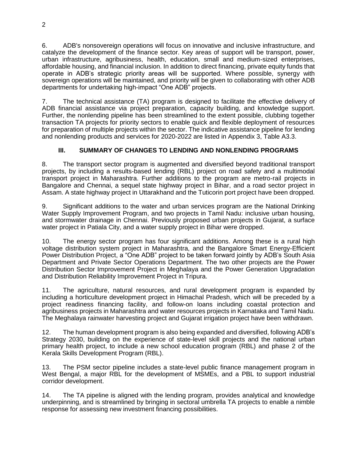6. ADB's nonsovereign operations will focus on innovative and inclusive infrastructure, and catalyze the development of the finance sector. Key areas of support will be transport, power, urban infrastructure, agribusiness, health, education, small and medium-sized enterprises, affordable housing, and financial inclusion. In addition to direct financing, private equity funds that operate in ADB's strategic priority areas will be supported. Where possible, synergy with sovereign operations will be maintained, and priority will be given to collaborating with other ADB departments for undertaking high-impact "One ADB" projects.

7. The technical assistance (TA) program is designed to facilitate the effective delivery of ADB financial assistance via project preparation, capacity building, and knowledge support. Further, the nonlending pipeline has been streamlined to the extent possible, clubbing together transaction TA projects for priority sectors to enable quick and flexible deployment of resources for preparation of multiple projects within the sector. The indicative assistance pipeline for lending and nonlending products and services for 2020-2022 are listed in Appendix 3, Table A3.3.

### **III. SUMMARY OF CHANGES TO LENDING AND NONLENDING PROGRAMS**

<span id="page-5-0"></span>8. The transport sector program is augmented and diversified beyond traditional transport projects, by including a results-based lending (RBL) project on road safety and a multimodal transport project in Maharashtra. Further additions to the program are metro-rail projects in Bangalore and Chennai, a sequel state highway project in Bihar, and a road sector project in Assam. A state highway project in Uttarakhand and the Tuticorin port project have been dropped.

9. Significant additions to the water and urban services program are the National Drinking Water Supply Improvement Program, and two projects in Tamil Nadu: inclusive urban housing, and stormwater drainage in Chennai. Previously proposed urban projects in Gujarat, a surface water project in Patiala City, and a water supply project in Bihar were dropped.

10. The energy sector program has four significant additions. Among these is a rural high voltage distribution system project in Maharashtra, and the Bangalore Smart Energy-Efficient Power Distribution Project, a "One ADB" project to be taken forward jointly by ADB's South Asia Department and Private Sector Operations Department. The two other projects are the Power Distribution Sector Improvement Project in Meghalaya and the Power Generation Upgradation and Distribution Reliability Improvement Project in Tripura.

11. The agriculture, natural resources, and rural development program is expanded by including a horticulture development project in Himachal Pradesh, which will be preceded by a project readiness financing facility, and follow-on loans including coastal protection and agribusiness projects in Maharashtra and water resources projects in Karnataka and Tamil Nadu. The Meghalaya rainwater harvesting project and Gujarat irrigation project have been withdrawn.

12. The human development program is also being expanded and diversified, following ADB's Strategy 2030, building on the experience of state-level skill projects and the national urban primary health project, to include a new school education program (RBL) and phase 2 of the Kerala Skills Development Program (RBL).

13. The PSM sector pipeline includes a state-level public finance management program in West Bengal, a major RBL for the development of MSMEs, and a PBL to support industrial corridor development.

14. The TA pipeline is aligned with the lending program, provides analytical and knowledge underpinning, and is streamlined by bringing in sectoral umbrella TA projects to enable a nimble response for assessing new investment financing possibilities.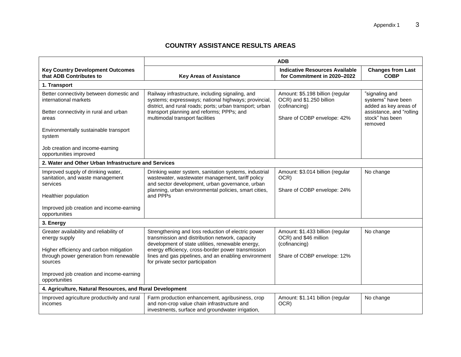### **COUNTRY ASSISTANCE RESULTS AREAS**

<span id="page-6-0"></span>

|                                                                                                                                                           |                                                                                                                                                                                                                                                                                                              | <b>ADB</b>                                                                                                   |                                                                                                                         |
|-----------------------------------------------------------------------------------------------------------------------------------------------------------|--------------------------------------------------------------------------------------------------------------------------------------------------------------------------------------------------------------------------------------------------------------------------------------------------------------|--------------------------------------------------------------------------------------------------------------|-------------------------------------------------------------------------------------------------------------------------|
| <b>Key Country Development Outcomes</b><br>that ADB Contributes to                                                                                        | <b>Key Areas of Assistance</b>                                                                                                                                                                                                                                                                               | <b>Indicative Resources Available</b><br>for Commitment in 2020-2022                                         | <b>Changes from Last</b><br><b>COBP</b>                                                                                 |
| 1. Transport                                                                                                                                              |                                                                                                                                                                                                                                                                                                              |                                                                                                              |                                                                                                                         |
| Better connectivity between domestic and<br>international markets<br>Better connectivity in rural and urban<br>areas                                      | Railway infrastructure, including signaling, and<br>systems; expressways; national highways; provincial,<br>district, and rural roads; ports; urban transport; urban<br>transport planning and reforms; PPPs; and<br>multimodal transport facilities                                                         | Amount: \$5.198 billion (regular<br>OCR) and \$1.250 billion<br>(cofinancing)<br>Share of COBP envelope: 42% | "signaling and<br>systems" have been<br>added as key areas of<br>assistance, and "rolling<br>stock" has been<br>removed |
| Environmentally sustainable transport<br>system                                                                                                           |                                                                                                                                                                                                                                                                                                              |                                                                                                              |                                                                                                                         |
| Job creation and income-earning<br>opportunities improved                                                                                                 |                                                                                                                                                                                                                                                                                                              |                                                                                                              |                                                                                                                         |
| 2. Water and Other Urban Infrastructure and Services                                                                                                      |                                                                                                                                                                                                                                                                                                              |                                                                                                              |                                                                                                                         |
| Improved supply of drinking water,<br>sanitation, and waste management<br>services<br>Healthier population                                                | Drinking water system, sanitation systems, industrial<br>wastewater, wastewater management, tariff policy<br>and sector development, urban governance, urban<br>planning, urban environmental policies, smart cities,<br>and PPPs                                                                            | Amount: \$3.014 billion (regular<br>OCR)<br>Share of COBP envelope: 24%                                      | No change                                                                                                               |
| Improved job creation and income-earning<br>opportunities                                                                                                 |                                                                                                                                                                                                                                                                                                              |                                                                                                              |                                                                                                                         |
| 3. Energy                                                                                                                                                 |                                                                                                                                                                                                                                                                                                              |                                                                                                              |                                                                                                                         |
| Greater availability and reliability of<br>energy supply<br>Higher efficiency and carbon mitigation<br>through power generation from renewable<br>sources | Strengthening and loss reduction of electric power<br>transmission and distribution network, capacity<br>development of state utilities, renewable energy,<br>energy efficiency, cross-border power transmission<br>lines and gas pipelines, and an enabling environment<br>for private sector participation | Amount: \$1.433 billion (regular<br>OCR) and \$46 million<br>(cofinancing)<br>Share of COBP envelope: 12%    | No change                                                                                                               |
| Improved job creation and income-earning<br>opportunities                                                                                                 |                                                                                                                                                                                                                                                                                                              |                                                                                                              |                                                                                                                         |
| 4. Agriculture, Natural Resources, and Rural Development                                                                                                  |                                                                                                                                                                                                                                                                                                              |                                                                                                              |                                                                                                                         |
| Improved agriculture productivity and rural<br>incomes                                                                                                    | Farm production enhancement, agribusiness, crop<br>and non-crop value chain infrastructure and<br>investments, surface and groundwater irrigation,                                                                                                                                                           | Amount: \$1.141 billion (regular<br>OCR)                                                                     | No change                                                                                                               |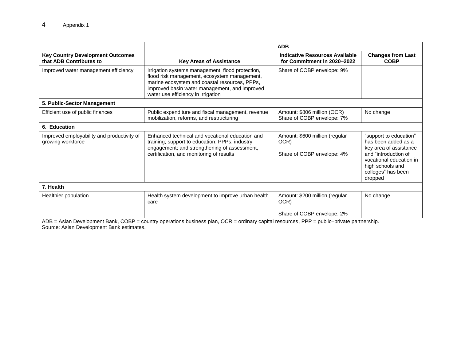|                                                                    | <b>ADB</b>                                                                                                                                                                                                                               |                                                                      |                                                                                                                                                                                 |  |  |  |  |  |  |  |
|--------------------------------------------------------------------|------------------------------------------------------------------------------------------------------------------------------------------------------------------------------------------------------------------------------------------|----------------------------------------------------------------------|---------------------------------------------------------------------------------------------------------------------------------------------------------------------------------|--|--|--|--|--|--|--|
| <b>Key Country Development Outcomes</b><br>that ADB Contributes to | <b>Key Areas of Assistance</b>                                                                                                                                                                                                           | Indicative Resources Available<br>for Commitment in 2020-2022        | <b>Changes from Last</b><br><b>COBP</b>                                                                                                                                         |  |  |  |  |  |  |  |
| Improved water management efficiency                               | irrigation systems management, flood protection,<br>flood risk management, ecosystem management,<br>marine ecosystem and coastal resources, PPPs,<br>improved basin water management, and improved<br>water use efficiency in irrigation | Share of COBP envelope: 9%                                           |                                                                                                                                                                                 |  |  |  |  |  |  |  |
| 5. Public-Sector Management                                        |                                                                                                                                                                                                                                          |                                                                      |                                                                                                                                                                                 |  |  |  |  |  |  |  |
| Efficient use of public finances                                   | Public expenditure and fiscal management, revenue<br>mobilization, reforms, and restructuring                                                                                                                                            | Amount: \$806 million (OCR)<br>Share of COBP envelope: 7%            | No change                                                                                                                                                                       |  |  |  |  |  |  |  |
| 6. Education                                                       |                                                                                                                                                                                                                                          |                                                                      |                                                                                                                                                                                 |  |  |  |  |  |  |  |
| Improved employability and productivity of<br>growing workforce    | Enhanced technical and vocational education and<br>training; support to education; PPPs; industry<br>engagement; and strengthening of assessment,<br>certification, and monitoring of results                                            | Amount: \$600 million (regular<br>OCR)<br>Share of COBP envelope: 4% | "support to education"<br>has been added as a<br>key area of assistance<br>and "introduction of<br>vocational education in<br>high schools and<br>colleges" has been<br>dropped |  |  |  |  |  |  |  |
| 7. Health                                                          |                                                                                                                                                                                                                                          |                                                                      |                                                                                                                                                                                 |  |  |  |  |  |  |  |
| Healthier population                                               | Health system development to improve urban health<br>care                                                                                                                                                                                | Amount: \$200 million (regular<br>OCR)                               | No change                                                                                                                                                                       |  |  |  |  |  |  |  |
|                                                                    |                                                                                                                                                                                                                                          | Share of COBP envelope: 2%                                           |                                                                                                                                                                                 |  |  |  |  |  |  |  |

ADB = Asian Development Bank, COBP = country operations business plan, OCR = ordinary capital resources, PPP = public–private partnership. Source: Asian Development Bank estimates.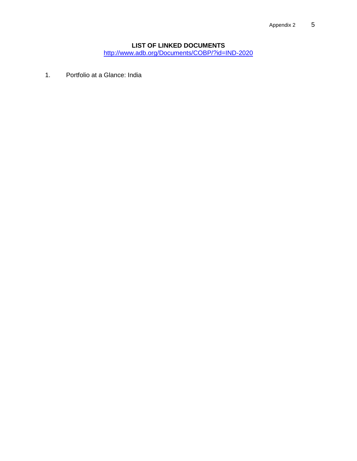# **LIST OF LINKED DOCUMENTS**

<http://www.adb.org/Documents/COBP/?id=IND-2020>

<span id="page-8-0"></span>1. Portfolio at a Glance: India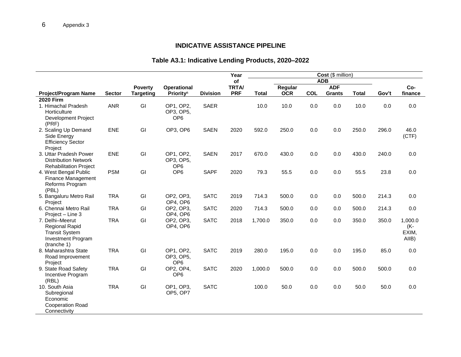### **INDICATIVE ASSISTANCE PIPELINE**

# **Table A3.1: Indicative Lending Products, 2020–2022**

<span id="page-9-0"></span>

|                                                                                                               |               |                                    |                                             |                 | Year               |              |                       |            |                          |              |       |                                  |
|---------------------------------------------------------------------------------------------------------------|---------------|------------------------------------|---------------------------------------------|-----------------|--------------------|--------------|-----------------------|------------|--------------------------|--------------|-------|----------------------------------|
|                                                                                                               |               |                                    |                                             |                 | of<br><b>TRTA/</b> |              |                       |            | <b>ADB</b><br><b>ADF</b> |              |       | Co-                              |
| <b>Project/Program Name</b>                                                                                   | <b>Sector</b> | <b>Poverty</b><br><b>Targeting</b> | <b>Operational</b><br>Priority <sup>a</sup> | <b>Division</b> | <b>PRF</b>         | <b>Total</b> | Regular<br><b>OCR</b> | <b>COL</b> | <b>Grants</b>            | <b>Total</b> | Gov't | finance                          |
| <b>2020 Firm</b>                                                                                              |               |                                    |                                             |                 |                    |              |                       |            |                          |              |       |                                  |
| 1. Himachal Pradesh<br>Horticulture<br>Development Project<br>(PRF)                                           | <b>ANR</b>    | GI                                 | OP1, OP2,<br>OP3, OP5,<br>OP <sub>6</sub>   | <b>SAER</b>     |                    | 10.0         | 10.0                  | 0.0        | 0.0                      | 10.0         | 0.0   | 0.0                              |
| 2. Scaling Up Demand<br>Side Energy<br><b>Efficiency Sector</b><br>Project                                    | <b>ENE</b>    | GI                                 | OP3, OP6                                    | <b>SAEN</b>     | 2020               | 592.0        | 250.0                 | 0.0        | 0.0                      | 250.0        | 296.0 | 46.0<br>(CTF)                    |
| 3. Uttar Pradesh Power<br><b>Distribution Network</b><br><b>Rehabilitation Project</b>                        | ENE           | GI                                 | OP1, OP2,<br>OP3, OP5,<br>OP <sub>6</sub>   | <b>SAEN</b>     | 2017               | 670.0        | 430.0                 | 0.0        | 0.0                      | 430.0        | 240.0 | 0.0                              |
| 4. West Bengal Public<br>Finance Management<br>Reforms Program<br>(PBL)                                       | <b>PSM</b>    | GI                                 | OP <sub>6</sub>                             | <b>SAPF</b>     | 2020               | 79.3         | 55.5                  | 0.0        | 0.0                      | 55.5         | 23.8  | 0.0                              |
| 5. Bangaluru Metro Rail<br>Project                                                                            | <b>TRA</b>    | GI                                 | OP2, OP3,<br>OP4, OP6                       | <b>SATC</b>     | 2019               | 714.3        | 500.0                 | 0.0        | 0.0                      | 500.0        | 214.3 | 0.0                              |
| 6. Chennai Metro Rail<br>Project - Line 3                                                                     | <b>TRA</b>    | GI                                 | OP2, OP3,<br>OP4, OP6                       | <b>SATC</b>     | 2020               | 714.3        | 500.0                 | 0.0        | 0.0                      | 500.0        | 214.3 | 0.0                              |
| 7. Delhi-Meerut<br><b>Regional Rapid</b><br><b>Transit System</b><br><b>Investment Program</b><br>(tranche 1) | <b>TRA</b>    | GI                                 | OP2, OP3,<br>OP4, OP6                       | <b>SATC</b>     | 2018               | 1,700.0      | 350.0                 | 0.0        | $0.0\,$                  | 350.0        | 350.0 | 1,000.0<br>(K-<br>EXIM,<br>AIIB) |
| 8. Maharashtra State<br>Road Improvement<br>Project                                                           | <b>TRA</b>    | GI                                 | OP1, OP2,<br>OP3, OP5,<br>OP <sub>6</sub>   | <b>SATC</b>     | 2019               | 280.0        | 195.0                 | 0.0        | 0.0                      | 195.0        | 85.0  | 0.0                              |
| 9. State Road Safety<br>Incentive Program<br>(RBL)                                                            | <b>TRA</b>    | GI                                 | OP2, OP4,<br>OP <sub>6</sub>                | <b>SATC</b>     | 2020               | 1,000.0      | 500.0                 | 0.0        | 0.0                      | 500.0        | 500.0 | 0.0                              |
| 10. South Asia<br>Subregional<br>Economic<br><b>Cooperation Road</b><br>Connectivity                          | <b>TRA</b>    | GI                                 | OP1, OP3,<br>OP5, OP7                       | <b>SATC</b>     |                    | 100.0        | 50.0                  | 0.0        | 0.0                      | 50.0         | 50.0  | 0.0                              |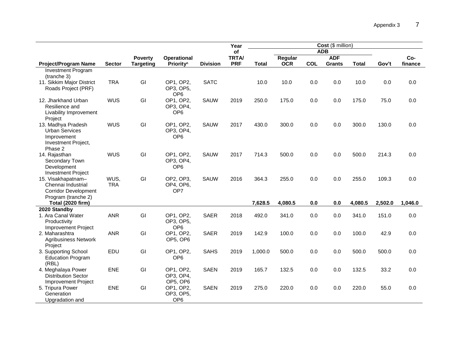|                                                                                                |                    |                                    |                                             |                 | Year                       |              |                       |            | Cost (\$ million)           |              |         |                |
|------------------------------------------------------------------------------------------------|--------------------|------------------------------------|---------------------------------------------|-----------------|----------------------------|--------------|-----------------------|------------|-----------------------------|--------------|---------|----------------|
|                                                                                                |                    |                                    |                                             |                 | of                         |              |                       |            | <b>ADB</b>                  |              |         |                |
| <b>Project/Program Name</b>                                                                    | <b>Sector</b>      | <b>Poverty</b><br><b>Targeting</b> | <b>Operational</b><br>Priority <sup>a</sup> | <b>Division</b> | <b>TRTA/</b><br><b>PRF</b> | <b>Total</b> | Regular<br><b>OCR</b> | <b>COL</b> | <b>ADF</b><br><b>Grants</b> | <b>Total</b> | Gov't   | Co-<br>finance |
| <b>Investment Program</b>                                                                      |                    |                                    |                                             |                 |                            |              |                       |            |                             |              |         |                |
| (tranche 3)                                                                                    |                    |                                    |                                             |                 |                            |              |                       |            |                             |              |         |                |
| 11. Sikkim Major District<br>Roads Project (PRF)                                               | <b>TRA</b>         | GI                                 | OP1, OP2,<br>OP3, OP5,<br>OP <sub>6</sub>   | <b>SATC</b>     |                            | 10.0         | 10.0                  | 0.0        | 0.0                         | 10.0         | 0.0     | 0.0            |
| 12. Jharkhand Urban<br>Resilience and<br>Livability Improvement<br>Project                     | <b>WUS</b>         | GI                                 | OP1, OP2,<br>OP3, OP4,<br>OP <sub>6</sub>   | SAUW            | 2019                       | 250.0        | 175.0                 | 0.0        | 0.0                         | 175.0        | 75.0    | 0.0            |
| 13. Madhya Pradesh<br><b>Urban Services</b><br>Improvement<br>Investment Project,<br>Phase 2   | <b>WUS</b>         | GI                                 | OP1, OP2,<br>OP3, OP4,<br>OP <sub>6</sub>   | <b>SAUW</b>     | 2017                       | 430.0        | 300.0                 | 0.0        | 0.0                         | 300.0        | 130.0   | 0.0            |
| 14. Rajasthan<br>Secondary Town<br>Development<br><b>Investment Project</b>                    | <b>WUS</b>         | GI                                 | OP1, OP2,<br>OP3, OP4,<br>OP <sub>6</sub>   | <b>SAUW</b>     | 2017                       | 714.3        | 500.0                 | 0.0        | 0.0                         | 500.0        | 214.3   | 0.0            |
| 15. Visakhapatnam-<br>Chennai Industrial<br><b>Corridor Development</b><br>Program (tranche 2) | WUS,<br><b>TRA</b> | GI                                 | OP2, OP3,<br>OP4, OP6,<br>OP7               | <b>SAUW</b>     | 2016                       | 364.3        | 255.0                 | 0.0        | 0.0                         | 255.0        | 109.3   | 0.0            |
| <b>Total (2020 firm)</b>                                                                       |                    |                                    |                                             |                 |                            | 7,628.5      | 4,080.5               | 0.0        | 0.0                         | 4,080.5      | 2,502.0 | 1,046.0        |
| 2020 Standby<br>1. Ara Canal Water<br>Productivity<br>Improvement Project                      | <b>ANR</b>         | GI                                 | OP1, OP2,<br>OP3, OP5,<br>OP <sub>6</sub>   | <b>SAER</b>     | 2018                       | 492.0        | 341.0                 | 0.0        | 0.0                         | 341.0        | 151.0   | 0.0            |
| 2. Maharashtra<br><b>Agribusiness Network</b><br>Project                                       | <b>ANR</b>         | GI                                 | OP1, OP2,<br>OP5, OP6                       | <b>SAER</b>     | 2019                       | 142.9        | 100.0                 | 0.0        | 0.0                         | 100.0        | 42.9    | 0.0            |
| 3. Supporting School<br><b>Education Program</b><br>(RBL)                                      | EDU                | GI                                 | OP1, OP2,<br>OP <sub>6</sub>                | <b>SAHS</b>     | 2019                       | 1,000.0      | 500.0                 | 0.0        | 0.0                         | 500.0        | 500.0   | 0.0            |
| 4. Meghalaya Power<br><b>Distribution Sector</b><br><b>Improvement Project</b>                 | <b>ENE</b>         | GI                                 | OP1, OP2,<br>OP3, OP4,<br>OP5, OP6          | <b>SAEN</b>     | 2019                       | 165.7        | 132.5                 | 0.0        | 0.0                         | 132.5        | 33.2    | 0.0            |
| 5. Tripura Power<br>Generation<br>Upgradation and                                              | <b>ENE</b>         | GI                                 | OP1, OP2,<br>OP3, OP5,<br>OP <sub>6</sub>   | <b>SAEN</b>     | 2019                       | 275.0        | 220.0                 | 0.0        | 0.0                         | 220.0        | 55.0    | 0.0            |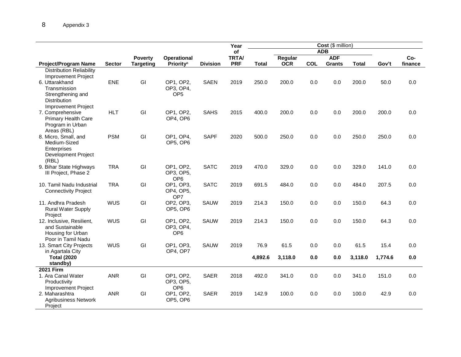|                                                                |               |                  |                        |                 | Year                       |         |                       |            | Cost (\$ million) |         |         |         |
|----------------------------------------------------------------|---------------|------------------|------------------------|-----------------|----------------------------|---------|-----------------------|------------|-------------------|---------|---------|---------|
|                                                                |               |                  |                        |                 | of                         |         |                       |            | <b>ADB</b>        |         |         |         |
|                                                                |               | <b>Poverty</b>   | Operational            |                 | <b>TRTA/</b><br><b>PRF</b> |         | Regular<br><b>OCR</b> | <b>COL</b> | <b>ADF</b>        |         | Gov't   | Co-     |
| <b>Project/Program Name</b><br><b>Distribution Reliability</b> | <b>Sector</b> | <b>Targeting</b> | Priority <sup>a</sup>  | <b>Division</b> |                            | Total   |                       |            | <b>Grants</b>     | Total   |         | finance |
| Improvement Project                                            |               |                  |                        |                 |                            |         |                       |            |                   |         |         |         |
| 6. Uttarakhand                                                 | ENE           | GI               | OP1, OP2,              | <b>SAEN</b>     | 2019                       | 250.0   | 200.0                 | 0.0        | 0.0               | 200.0   | 50.0    | 0.0     |
| Transmission                                                   |               |                  | OP3, OP4,              |                 |                            |         |                       |            |                   |         |         |         |
| Strengthening and                                              |               |                  | OP <sub>5</sub>        |                 |                            |         |                       |            |                   |         |         |         |
| <b>Distribution</b>                                            |               |                  |                        |                 |                            |         |                       |            |                   |         |         |         |
| Improvement Project                                            |               |                  |                        |                 |                            |         |                       |            |                   |         |         |         |
| 7. Comprehensive                                               | <b>HLT</b>    | GI               | OP1, OP2,              | <b>SAHS</b>     | 2015                       | 400.0   | 200.0                 | 0.0        | 0.0               | 200.0   | 200.0   | 0.0     |
| <b>Primary Health Care</b>                                     |               |                  | OP4, OP6               |                 |                            |         |                       |            |                   |         |         |         |
| Program in Urban                                               |               |                  |                        |                 |                            |         |                       |            |                   |         |         |         |
| Areas (RBL)<br>8. Micro, Small, and                            | <b>PSM</b>    | GI               | OP1, OP4,              | <b>SAPF</b>     | 2020                       | 500.0   | 250.0                 | 0.0        | 0.0               | 250.0   | 250.0   | 0.0     |
| Medium-Sized                                                   |               |                  | OP5, OP6               |                 |                            |         |                       |            |                   |         |         |         |
| Enterprises                                                    |               |                  |                        |                 |                            |         |                       |            |                   |         |         |         |
| <b>Development Project</b>                                     |               |                  |                        |                 |                            |         |                       |            |                   |         |         |         |
| (RBL)                                                          |               |                  |                        |                 |                            |         |                       |            |                   |         |         |         |
| 9. Bihar State Highways                                        | <b>TRA</b>    | GI               | OP1, OP2,              | <b>SATC</b>     | 2019                       | 470.0   | 329.0                 | 0.0        | 0.0               | 329.0   | 141.0   | 0.0     |
| III Project, Phase 2                                           |               |                  | OP3, OP5,              |                 |                            |         |                       |            |                   |         |         |         |
|                                                                |               |                  | OP <sub>6</sub>        |                 |                            |         |                       |            |                   |         |         |         |
| 10. Tamil Nadu Industrial<br><b>Connectivity Project</b>       | <b>TRA</b>    | GI               | OP1, OP3,<br>OP4, OP5, | <b>SATC</b>     | 2019                       | 691.5   | 484.0                 | 0.0        | 0.0               | 484.0   | 207.5   | 0.0     |
|                                                                |               |                  | OP7                    |                 |                            |         |                       |            |                   |         |         |         |
| 11. Andhra Pradesh                                             | <b>WUS</b>    | GI               | OP2, OP3,              | SAUW            | 2019                       | 214.3   | 150.0                 | 0.0        | 0.0               | 150.0   | 64.3    | 0.0     |
| <b>Rural Water Supply</b>                                      |               |                  | OP5, OP6               |                 |                            |         |                       |            |                   |         |         |         |
| Project                                                        |               |                  |                        |                 |                            |         |                       |            |                   |         |         |         |
| 12. Inclusive, Resilient,                                      | <b>WUS</b>    | GI               | OP1, OP2,              | <b>SAUW</b>     | 2019                       | 214.3   | 150.0                 | 0.0        | 0.0               | 150.0   | 64.3    | 0.0     |
| and Sustainable                                                |               |                  | OP3, OP4,              |                 |                            |         |                       |            |                   |         |         |         |
| Housing for Urban                                              |               |                  | OP <sub>6</sub>        |                 |                            |         |                       |            |                   |         |         |         |
| Poor in Tamil Nadu<br>13. Smart City Projects                  | <b>WUS</b>    | GI               | OP1, OP3,              | <b>SAUW</b>     | 2019                       | 76.9    | 61.5                  | 0.0        | 0.0               | 61.5    | 15.4    | 0.0     |
| in Agartala City                                               |               |                  | OP4, OP7               |                 |                            |         |                       |            |                   |         |         |         |
| <b>Total (2020)</b>                                            |               |                  |                        |                 |                            | 4,892.6 | 3,118.0               | 0.0        | 0.0               | 3,118.0 | 1,774.6 | 0.0     |
| standby)                                                       |               |                  |                        |                 |                            |         |                       |            |                   |         |         |         |
| <b>2021 Firm</b>                                               |               |                  |                        |                 |                            |         |                       |            |                   |         |         |         |
| 1. Ara Canal Water                                             | <b>ANR</b>    | GI               | OP1, OP2,              | <b>SAER</b>     | 2018                       | 492.0   | 341.0                 | 0.0        | 0.0               | 341.0   | 151.0   | 0.0     |
| Productivity                                                   |               |                  | OP3, OP5,              |                 |                            |         |                       |            |                   |         |         |         |
| <b>Improvement Project</b>                                     |               |                  | OP <sub>6</sub>        |                 |                            |         |                       |            |                   |         |         |         |
| 2. Maharashtra<br><b>Agribusiness Network</b>                  | <b>ANR</b>    | GI               | OP1. OP2.<br>OP5, OP6  | <b>SAER</b>     | 2019                       | 142.9   | 100.0                 | 0.0        | 0.0               | 100.0   | 42.9    | 0.0     |
| Project                                                        |               |                  |                        |                 |                            |         |                       |            |                   |         |         |         |
|                                                                |               |                  |                        |                 |                            |         |                       |            |                   |         |         |         |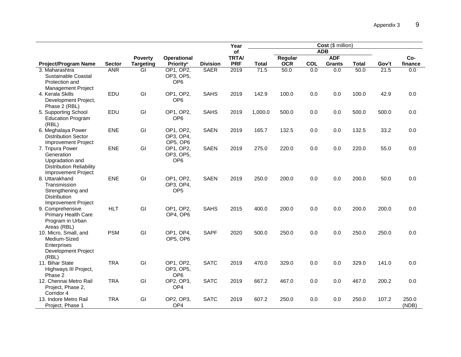|                                                                                                             |               |                                    |                                             |                 | Year                       |         |                       |            | Cost (\$ million)           |       |       |                |
|-------------------------------------------------------------------------------------------------------------|---------------|------------------------------------|---------------------------------------------|-----------------|----------------------------|---------|-----------------------|------------|-----------------------------|-------|-------|----------------|
|                                                                                                             |               |                                    |                                             |                 | of                         |         |                       |            | <b>ADB</b>                  |       |       |                |
| <b>Project/Program Name</b>                                                                                 | <b>Sector</b> | <b>Poverty</b><br><b>Targeting</b> | <b>Operational</b><br>Priority <sup>a</sup> | <b>Division</b> | <b>TRTA/</b><br><b>PRF</b> | Total   | Regular<br><b>OCR</b> | <b>COL</b> | <b>ADF</b><br><b>Grants</b> | Total | Gov't | Co-<br>finance |
| 3. Maharashtra                                                                                              | <b>ANR</b>    | GI                                 | OP1, OP2,                                   | <b>SAER</b>     | 2019                       | 71.5    | 50.0                  | 0.0        | 0.0                         | 50.0  | 21.5  | 0.0            |
| Sustainable Coastal<br>Protection and<br><b>Management Project</b>                                          |               |                                    | OP3, OP5,<br>OP <sub>6</sub>                |                 |                            |         |                       |            |                             |       |       |                |
| 4. Kerala Skills<br>Development Project,<br>Phase 2 (RBL)                                                   | EDU           | GI                                 | OP1, OP2,<br>OP <sub>6</sub>                | <b>SAHS</b>     | 2019                       | 142.9   | 100.0                 | 0.0        | 0.0                         | 100.0 | 42.9  | 0.0            |
| 5. Supporting School<br><b>Education Program</b><br>(RBL)                                                   | EDU           | GI                                 | OP1, OP2,<br>OP <sub>6</sub>                | <b>SAHS</b>     | 2019                       | 1,000.0 | 500.0                 | 0.0        | 0.0                         | 500.0 | 500.0 | 0.0            |
| 6. Meghalaya Power<br><b>Distribution Sector</b><br><b>Improvement Project</b>                              | <b>ENE</b>    | GI                                 | OP1, OP2,<br>OP3, OP4,<br>OP5, OP6          | <b>SAEN</b>     | 2019                       | 165.7   | 132.5                 | 0.0        | 0.0                         | 132.5 | 33.2  | 0.0            |
| 7. Tripura Power<br>Generation<br>Upgradation and<br><b>Distribution Reliability</b><br>Improvement Project | <b>ENE</b>    | GI                                 | OP1, OP2,<br>OP3, OP5,<br>OP <sub>6</sub>   | <b>SAEN</b>     | 2019                       | 275.0   | 220.0                 | 0.0        | 0.0                         | 220.0 | 55.0  | 0.0            |
| 8. Uttarakhand<br>Transmission<br>Strengthening and<br><b>Distribution</b><br>Improvement Project           | <b>ENE</b>    | GI                                 | OP1, OP2,<br>OP3, OP4,<br>OP <sub>5</sub>   | <b>SAEN</b>     | 2019                       | 250.0   | 200.0                 | 0.0        | 0.0                         | 200.0 | 50.0  | 0.0            |
| 9. Comprehensive<br><b>Primary Health Care</b><br>Program in Urban<br>Areas (RBL)                           | <b>HLT</b>    | GI                                 | OP1, OP2,<br>OP4, OP6                       | <b>SAHS</b>     | 2015                       | 400.0   | 200.0                 | 0.0        | 0.0                         | 200.0 | 200.0 | 0.0            |
| 10. Micro, Small, and<br>Medium-Sized<br>Enterprises<br><b>Development Project</b><br>(RBL)                 | <b>PSM</b>    | GI                                 | OP1, OP4,<br>OP5, OP6                       | <b>SAPF</b>     | 2020                       | 500.0   | 250.0                 | 0.0        | 0.0                         | 250.0 | 250.0 | 0.0            |
| 11. Bihar State<br>Highways III Project,<br>Phase 2                                                         | <b>TRA</b>    | GI                                 | OP1, OP2,<br>OP3, OP5,<br>OP <sub>6</sub>   | <b>SATC</b>     | 2019                       | 470.0   | 329.0                 | 0.0        | 0.0                         | 329.0 | 141.0 | 0.0            |
| 12. Chennai Metro Rail<br>Project, Phase 2,<br>Corridor 4                                                   | <b>TRA</b>    | GI                                 | OP2, OP3,<br>OP <sub>4</sub>                | <b>SATC</b>     | 2019                       | 667.2   | 467.0                 | 0.0        | 0.0                         | 467.0 | 200.2 | 0.0            |
| 13. Indore Metro Rail<br>Project, Phase 1                                                                   | <b>TRA</b>    | GI                                 | OP2, OP3,<br>OP <sub>4</sub>                | <b>SATC</b>     | 2019                       | 607.2   | 250.0                 | 0.0        | 0.0                         | 250.0 | 107.2 | 250.0<br>(NDB) |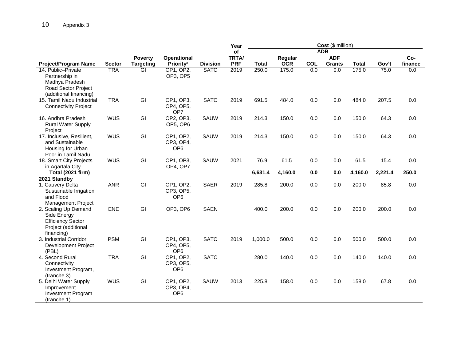|                                                                                                      |                             |                        |                                           |                                | Year               |                       |                     |                   | Cost (\$ million) |                       |                 |                |
|------------------------------------------------------------------------------------------------------|-----------------------------|------------------------|-------------------------------------------|--------------------------------|--------------------|-----------------------|---------------------|-------------------|-------------------|-----------------------|-----------------|----------------|
|                                                                                                      |                             |                        |                                           |                                | <b>of</b>          |                       |                     |                   | <b>ADB</b>        |                       |                 |                |
|                                                                                                      |                             | <b>Poverty</b>         | <b>Operational</b>                        |                                | <b>TRTA/</b>       |                       | Regular             |                   | <b>ADF</b>        |                       |                 | Co-            |
| <b>Project/Program Name</b><br>14. Public-Private                                                    | <b>Sector</b><br><b>TRA</b> | <b>Targeting</b><br>GI | Priority <sup>a</sup><br>OP1, OP2,        | <b>Division</b><br><b>SATC</b> | <b>PRF</b><br>2019 | <b>Total</b><br>250.0 | <b>OCR</b><br>175.0 | <b>COL</b><br>0.0 | Grants<br>0.0     | <b>Total</b><br>175.0 | Gov't<br>75.0   | finance<br>0.0 |
| Partnership in<br>Madhya Pradesh<br>Road Sector Project<br>(additional financing)                    |                             |                        | OP3, OP5                                  |                                |                    |                       |                     |                   |                   |                       |                 |                |
| 15. Tamil Nadu Industrial<br><b>Connectivity Project</b>                                             | <b>TRA</b>                  | GI                     | OP1, OP3,<br>OP4, OP5,<br>OP7             | <b>SATC</b>                    | 2019               | 691.5                 | 484.0               | 0.0               | 0.0               | 484.0                 | 207.5           | 0.0            |
| 16. Andhra Pradesh<br><b>Rural Water Supply</b><br>Project                                           | <b>WUS</b>                  | GI                     | OP2, OP3,<br>OP5, OP6                     | <b>SAUW</b>                    | 2019               | 214.3                 | 150.0               | 0.0               | 0.0               | 150.0                 | 64.3            | 0.0            |
| 17. Inclusive, Resilient,<br>and Sustainable<br>Housing for Urban<br>Poor in Tamil Nadu              | <b>WUS</b>                  | GI                     | OP1, OP2,<br>OP3, OP4,<br>OP <sub>6</sub> | <b>SAUW</b>                    | 2019               | 214.3                 | 150.0               | 0.0               | 0.0               | 150.0                 | 64.3            | 0.0            |
| 18. Smart City Projects<br>in Agartala City<br><b>Total (2021 firm)</b>                              | <b>WUS</b>                  | GI                     | OP1, OP3,<br>OP4, OP7                     | <b>SAUW</b>                    | 2021               | 76.9<br>6,631.4       | 61.5<br>4,160.0     | 0.0<br>0.0        | 0.0<br>0.0        | 61.5<br>4,160.0       | 15.4<br>2,221.4 | 0.0<br>250.0   |
| 2021 Standby                                                                                         |                             |                        |                                           |                                |                    |                       |                     |                   |                   |                       |                 |                |
| 1. Cauvery Delta<br>Sustainable Irrigation<br>and Flood<br><b>Management Project</b>                 | <b>ANR</b>                  | GI                     | OP1, OP2,<br>OP3, OP5,<br>OP <sub>6</sub> | <b>SAER</b>                    | 2019               | 285.8                 | 200.0               | 0.0               | 0.0               | 200.0                 | 85.8            | 0.0            |
| 2. Scaling Up Demand<br>Side Energy<br><b>Efficiency Sector</b><br>Project (additional<br>financing) | <b>ENE</b>                  | GI                     | OP3, OP6                                  | <b>SAEN</b>                    |                    | 400.0                 | 200.0               | 0.0               | 0.0               | 200.0                 | 200.0           | 0.0            |
| 3. Industrial Corridor<br>Development Project<br>(PBL)                                               | <b>PSM</b>                  | GI                     | OP1, OP3,<br>OP4, OP5,<br>OP <sub>6</sub> | <b>SATC</b>                    | 2019               | 1,000.0               | 500.0               | 0.0               | 0.0               | 500.0                 | 500.0           | 0.0            |
| 4. Second Rural<br>Connectivity<br>Investment Program,<br>(tranche 3)                                | <b>TRA</b>                  | GI                     | OP1, OP2,<br>OP3, OP5,<br>OP <sub>6</sub> | <b>SATC</b>                    |                    | 280.0                 | 140.0               | 0.0               | 0.0               | 140.0                 | 140.0           | 0.0            |
| 5. Delhi Water Supply<br>Improvement<br>Investment Program<br>(tranche 1)                            | <b>WUS</b>                  | GI                     | OP1, OP2,<br>OP3, OP4,<br>OP <sub>6</sub> | <b>SAUW</b>                    | 2013               | 225.8                 | 158.0               | 0.0               | 0.0               | 158.0                 | 67.8            | 0.0            |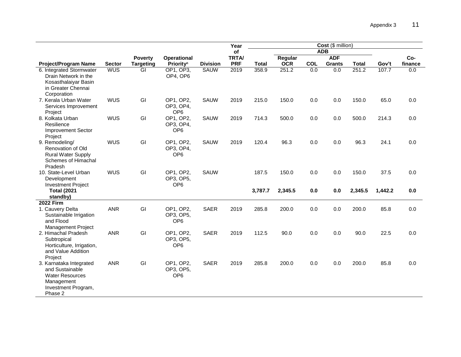|                                                                                                                      |               |                  |                                           |                 | Year         | Cost (\$ million) |            |            |               |              |         |         |
|----------------------------------------------------------------------------------------------------------------------|---------------|------------------|-------------------------------------------|-----------------|--------------|-------------------|------------|------------|---------------|--------------|---------|---------|
|                                                                                                                      |               |                  |                                           |                 | of           |                   |            |            | <b>ADB</b>    |              |         |         |
|                                                                                                                      |               | <b>Poverty</b>   | <b>Operational</b>                        |                 | <b>TRTA/</b> |                   | Regular    |            | <b>ADF</b>    |              |         | Co-     |
| <b>Project/Program Name</b>                                                                                          | <b>Sector</b> | <b>Targeting</b> | <b>Priority</b> <sup>a</sup>              | <b>Division</b> | <b>PRF</b>   | <b>Total</b>      | <b>OCR</b> | <b>COL</b> | <b>Grants</b> | <b>Total</b> | Gov't   | finance |
| 6. Integrated Stormwater<br>Drain Network in the<br>Kosasthalaiyar Basin<br>in Greater Chennai<br>Corporation        | <b>WUS</b>    | GI               | OP1, OP3,<br>OP4, OP6                     | <b>SAUW</b>     | 2019         | 358.9             | 251.2      | 0.0        | 0.0           | 251.2        | 107.7   | 0.0     |
| 7. Kerala Urban Water<br>Services Improvement<br>Project                                                             | WUS           | GI               | OP1, OP2,<br>OP3, OP4,<br>OP <sub>6</sub> | SAUW            | 2019         | 215.0             | 150.0      | 0.0        | 0.0           | 150.0        | 65.0    | 0.0     |
| 8. Kolkata Urban<br>Resilience<br><b>Improvement Sector</b><br>Project                                               | <b>WUS</b>    | GI               | OP1, OP2,<br>OP3, OP4,<br>OP <sub>6</sub> | <b>SAUW</b>     | 2019         | 714.3             | 500.0      | 0.0        | 0.0           | 500.0        | 214.3   | 0.0     |
| 9. Remodeling/<br><b>Renovation of Old</b><br><b>Rural Water Supply</b><br>Schemes of Himachal<br>Pradesh            | <b>WUS</b>    | GI               | OP1, OP2,<br>OP3, OP4,<br>OP <sub>6</sub> | <b>SAUW</b>     | 2019         | 120.4             | 96.3       | 0.0        | 0.0           | 96.3         | 24.1    | 0.0     |
| 10. State-Level Urban<br>Development<br><b>Investment Project</b>                                                    | <b>WUS</b>    | GI               | OP1, OP2,<br>OP3, OP5,<br>OP <sub>6</sub> | <b>SAUW</b>     |              | 187.5             | 150.0      | 0.0        | 0.0           | 150.0        | 37.5    | 0.0     |
| <b>Total (2021)</b><br>standby)                                                                                      |               |                  |                                           |                 |              | 3,787.7           | 2,345.5    | 0.0        | 0.0           | 2,345.5      | 1,442.2 | 0.0     |
| <b>2022 Firm</b>                                                                                                     |               |                  |                                           |                 |              |                   |            |            |               |              |         |         |
| 1. Cauvery Delta<br>Sustainable Irrigation<br>and Flood<br><b>Management Project</b>                                 | <b>ANR</b>    | GI               | OP1, OP2,<br>OP3, OP5,<br>OP <sub>6</sub> | <b>SAER</b>     | 2019         | 285.8             | 200.0      | 0.0        | 0.0           | 200.0        | 85.8    | 0.0     |
| 2. Himachal Pradesh<br>Subtropical<br>Horticulture, Irrigation,<br>and Value Addition<br>Project                     | <b>ANR</b>    | GI               | OP1, OP2,<br>OP3, OP5,<br>OP <sub>6</sub> | <b>SAER</b>     | 2019         | 112.5             | 90.0       | 0.0        | 0.0           | 90.0         | 22.5    | 0.0     |
| 3. Karnataka Integrated<br>and Sustainable<br><b>Water Resources</b><br>Management<br>Investment Program,<br>Phase 2 | <b>ANR</b>    | GI               | OP1, OP2,<br>OP3, OP5,<br>OP <sub>6</sub> | <b>SAER</b>     | 2019         | 285.8             | 200.0      | 0.0        | 0.0           | 200.0        | 85.8    | 0.0     |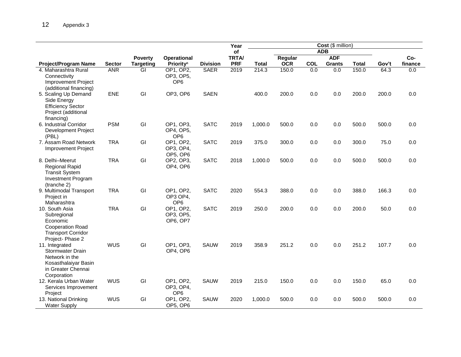|                                                                                                                          |                             |                        |                                           |                                | Year               |                       |                     |                   | Cost (\$ million)    |                       |               |                |
|--------------------------------------------------------------------------------------------------------------------------|-----------------------------|------------------------|-------------------------------------------|--------------------------------|--------------------|-----------------------|---------------------|-------------------|----------------------|-----------------------|---------------|----------------|
|                                                                                                                          |                             |                        |                                           |                                | of                 |                       |                     |                   | <b>ADB</b>           |                       |               |                |
|                                                                                                                          |                             | <b>Poverty</b>         | <b>Operational</b>                        |                                | <b>TRTA/</b>       |                       | Regular             |                   | <b>ADF</b>           |                       |               | Co-            |
| <b>Project/Program Name</b><br>4. Maharashtra Rural                                                                      | <b>Sector</b><br><b>ANR</b> | <b>Targeting</b><br>GI | Priority <sup>a</sup><br>OP1, OP2,        | <b>Division</b><br><b>SAER</b> | <b>PRF</b><br>2019 | <b>Total</b><br>214.3 | <b>OCR</b><br>150.0 | <b>COL</b><br>0.0 | <b>Grants</b><br>0.0 | <b>Total</b><br>150.0 | Gov't<br>64.3 | finance<br>0.0 |
| Connectivity<br><b>Improvement Project</b><br>(additional financing)                                                     |                             |                        | OP3, OP5,<br>OP <sub>6</sub>              |                                |                    |                       |                     |                   |                      |                       |               |                |
| 5. Scaling Up Demand<br>Side Energy<br><b>Efficiency Sector</b><br>Project (additional<br>financing)                     | ENE                         | GI                     | OP3, OP6                                  | <b>SAEN</b>                    |                    | 400.0                 | 200.0               | 0.0               | 0.0                  | 200.0                 | 200.0         | 0.0            |
| 6. Industrial Corridor<br>Development Project<br>(PBL)                                                                   | <b>PSM</b>                  | GI                     | OP1, OP3,<br>OP4, OP5,<br>OP <sub>6</sub> | <b>SATC</b>                    | 2019               | 1,000.0               | 500.0               | 0.0               | 0.0                  | 500.0                 | 500.0         | 0.0            |
| 7. Assam Road Network<br>Improvement Project                                                                             | <b>TRA</b>                  | GI                     | OP1, OP2,<br>OP3, OP4,<br>OP5, OP6        | <b>SATC</b>                    | 2019               | 375.0                 | 300.0               | 0.0               | $0.0\,$              | 300.0                 | 75.0          | 0.0            |
| 8. Delhi-Meerut<br><b>Regional Rapid</b><br><b>Transit System</b><br><b>Investment Program</b><br>(tranche 2)            | <b>TRA</b>                  | GI                     | OP2, OP3,<br>OP4, OP6                     | <b>SATC</b>                    | 2018               | 1,000.0               | 500.0               | 0.0               | 0.0                  | 500.0                 | 500.0         | 0.0            |
| 9. Multimodal Transport<br>Project in<br>Maharashtra                                                                     | <b>TRA</b>                  | GI                     | OP1, OP2,<br>OP3 OP4,<br>OP <sub>6</sub>  | <b>SATC</b>                    | 2020               | 554.3                 | 388.0               | 0.0               | 0.0                  | 388.0                 | 166.3         | 0.0            |
| 10. South Asia<br>Subregional<br>Economic<br><b>Cooperation Road</b><br><b>Transport Corridor</b><br>Project- Phase 2    | <b>TRA</b>                  | GI                     | OP1, OP2,<br>OP3, OP5,<br>OP6, OP7        | <b>SATC</b>                    | 2019               | 250.0                 | 200.0               | 0.0               | 0.0                  | 200.0                 | 50.0          | 0.0            |
| 11. Integrated<br><b>Stormwater Drain</b><br>Network in the<br>Kosasthalaiyar Basin<br>in Greater Chennai<br>Corporation | <b>WUS</b>                  | GI                     | OP1, OP3,<br>OP4, OP6                     | SAUW                           | 2019               | 358.9                 | 251.2               | 0.0               | 0.0                  | 251.2                 | 107.7         | 0.0            |
| 12. Kerala Urban Water<br>Services Improvement<br>Project                                                                | <b>WUS</b>                  | GI                     | OP1, OP2,<br>OP3, OP4,<br>OP <sub>6</sub> | <b>SAUW</b>                    | 2019               | 215.0                 | 150.0               | 0.0               | 0.0                  | 150.0                 | 65.0          | 0.0            |
| 13. National Drinking<br><b>Water Supply</b>                                                                             | <b>WUS</b>                  | GI                     | OP1, OP2,<br>OP5, OP6                     | <b>SAUW</b>                    | 2020               | 1,000.0               | 500.0               | 0.0               | 0.0                  | 500.0                 | 500.0         | 0.0            |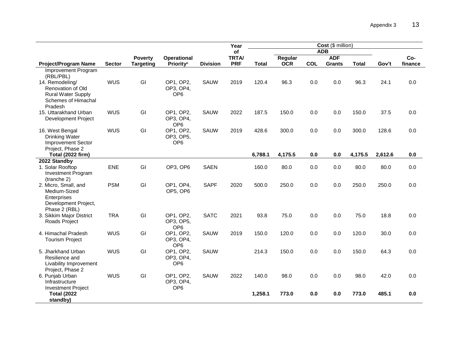|                                                                                                     |               |                                    |                                                   |                 | Year                       | Cost (\$ million) |                       |            |                             |              |         |                  |
|-----------------------------------------------------------------------------------------------------|---------------|------------------------------------|---------------------------------------------------|-----------------|----------------------------|-------------------|-----------------------|------------|-----------------------------|--------------|---------|------------------|
|                                                                                                     |               |                                    |                                                   |                 | of                         |                   |                       |            | <b>ADB</b>                  |              |         |                  |
| <b>Project/Program Name</b>                                                                         | <b>Sector</b> | <b>Poverty</b><br><b>Targeting</b> | <b>Operational</b><br><b>Priority<sup>a</sup></b> | <b>Division</b> | <b>TRTA/</b><br><b>PRF</b> | <b>Total</b>      | Regular<br><b>OCR</b> | <b>COL</b> | <b>ADF</b><br><b>Grants</b> | <b>Total</b> | Gov't   | $Co-$<br>finance |
| Improvement Program<br>(RBL/PBL)                                                                    |               |                                    |                                                   |                 |                            |                   |                       |            |                             |              |         |                  |
| 14. Remodeling/<br>Renovation of Old<br><b>Rural Water Supply</b><br>Schemes of Himachal<br>Pradesh | <b>WUS</b>    | GI                                 | OP1, OP2,<br>OP3, OP4,<br>OP <sub>6</sub>         | <b>SAUW</b>     | 2019                       | 120.4             | 96.3                  | 0.0        | 0.0                         | 96.3         | 24.1    | 0.0              |
| 15. Uttarakhand Urban<br><b>Development Project</b>                                                 | <b>WUS</b>    | GI                                 | OP1, OP2,<br>OP3, OP4,<br>OP <sub>6</sub>         | <b>SAUW</b>     | 2022                       | 187.5             | 150.0                 | 0.0        | 0.0                         | 150.0        | 37.5    | 0.0              |
| 16. West Bengal<br><b>Drinking Water</b><br><b>Improvement Sector</b><br>Project, Phase 2           | <b>WUS</b>    | GI                                 | OP1, OP2,<br>OP3, OP5,<br>OP <sub>6</sub>         | <b>SAUW</b>     | 2019                       | 428.6             | 300.0                 | 0.0        | 0.0                         | 300.0        | 128.6   | 0.0              |
| <b>Total (2022 firm)</b>                                                                            |               |                                    |                                                   |                 |                            | 6,788.1           | 4,175.5               | 0.0        | 0.0                         | 4,175.5      | 2,612.6 | 0.0              |
| 2022 Standby                                                                                        |               |                                    |                                                   |                 |                            |                   |                       |            |                             |              |         |                  |
| 1. Solar Rooftop<br><b>Investment Program</b><br>(tranche 2)                                        | ENE           | GI                                 | OP3, OP6                                          | <b>SAEN</b>     |                            | 160.0             | 80.0                  | 0.0        | 0.0                         | 80.0         | 80.0    | 0.0              |
| 2. Micro, Small, and<br>Medium-Sized<br>Enterprises<br>Development Project,<br>Phase 2 (RBL)        | <b>PSM</b>    | GI                                 | OP1, OP4,<br>OP5, OP6                             | <b>SAPF</b>     | 2020                       | 500.0             | 250.0                 | 0.0        | 0.0                         | 250.0        | 250.0   | 0.0              |
| 3. Sikkim Major District<br>Roads Project                                                           | <b>TRA</b>    | GI                                 | OP1, OP2,<br>OP3, OP5,<br>OP <sub>6</sub>         | <b>SATC</b>     | 2021                       | 93.8              | 75.0                  | 0.0        | 0.0                         | 75.0         | 18.8    | 0.0              |
| 4. Himachal Pradesh<br><b>Tourism Project</b>                                                       | <b>WUS</b>    | GI                                 | OP1, OP2,<br>OP3, OP4,<br>OP <sub>6</sub>         | <b>SAUW</b>     | 2019                       | 150.0             | 120.0                 | $0.0\,$    | 0.0                         | 120.0        | 30.0    | 0.0              |
| 5. Jharkhand Urban<br>Resilience and<br>Livability Improvement<br>Project, Phase 2                  | <b>WUS</b>    | GI                                 | OP1, OP2,<br>OP3, OP4,<br>OP <sub>6</sub>         | <b>SAUW</b>     |                            | 214.3             | 150.0                 | 0.0        | 0.0                         | 150.0        | 64.3    | 0.0              |
| 6. Punjab Urban<br>Infrastructure<br><b>Investment Project</b>                                      | <b>WUS</b>    | GI                                 | OP1, OP2,<br>OP3, OP4,<br>OP <sub>6</sub>         | <b>SAUW</b>     | 2022                       | 140.0             | 98.0                  | 0.0        | 0.0                         | 98.0         | 42.0    | 0.0              |
| <b>Total (2022)</b><br>standby)                                                                     |               |                                    |                                                   |                 |                            | 1,258.1           | 773.0                 | 0.0        | 0.0                         | 773.0        | 485.1   | 0.0              |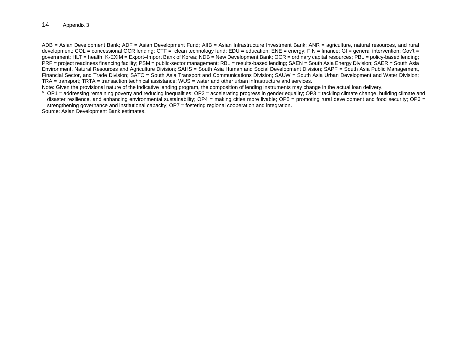#### 14 Appendix 3

ADB = Asian Development Bank; ADF = Asian Development Fund; AIIB = Asian Infrastructure Investment Bank; ANR = agriculture, natural resources, and rural development; COL = concessional OCR lending; CTF = clean technology fund; EDU = education; ENE = energy; FIN = finance; GI = general intervention; Gov't = government; HLT = health; K-EXIM = Export–Import Bank of Korea; NDB = New Development Bank; OCR = ordinary capital resources; PBL = policy-based lending; PRF = project readiness financing facility; PSM = public-sector management; RBL = results-based lending; SAEN = South Asia Energy Division; SAER = South Asia Environment, Natural Resources and Agriculture Division; SAHS = South Asia Human and Social Development Division; SAPF = South Asia Public Management, Financial Sector, and Trade Division; SATC = South Asia Transport and Communications Division; SAUW = South Asia Urban Development and Water Division; TRA = transport; TRTA = transaction technical assistance; WUS = water and other urban infrastructure and services.

Note: Given the provisional nature of the indicative lending program, the composition of lending instruments may change in the actual loan delivery.

<sup>a</sup> OP1 = addressing remaining poverty and reducing inequalities; OP2 = accelerating progress in gender equality; OP3 = tackling climate change, building climate and disaster resilience, and enhancing environmental sustainability;  $OP4 =$  making cities more livable;  $OP5 =$  promoting rural development and food security;  $OP6 =$ strengthening governance and institutional capacity; OP7 = fostering regional cooperation and integration.

Source: Asian Development Bank estimates.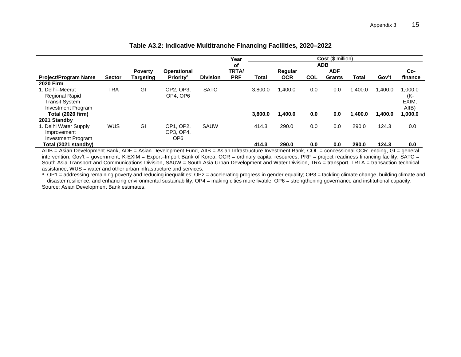|                             |               |                |                       |                 | Year         |              | Cost (\$ million) |            |               |         |         |         |
|-----------------------------|---------------|----------------|-----------------------|-----------------|--------------|--------------|-------------------|------------|---------------|---------|---------|---------|
|                             |               |                |                       |                 | <b>of</b>    |              |                   |            | <b>ADB</b>    |         |         |         |
|                             |               | <b>Poverty</b> | <b>Operational</b>    |                 | <b>TRTA/</b> |              | Regular           |            | <b>ADF</b>    |         |         | Co-     |
| <b>Project/Program Name</b> | <b>Sector</b> | Targeting      | Prioritv <sup>a</sup> | <b>Division</b> | <b>PRF</b>   | <b>Total</b> | <b>OCR</b>        | <b>COL</b> | <b>Grants</b> | Total   | Gov't   | finance |
| <b>2020 Firm</b>            |               |                |                       |                 |              |              |                   |            |               |         |         |         |
| 1. Delhi-Meerut             | <b>TRA</b>    | GI             | OP2, OP3.             | <b>SATC</b>     |              | 3.800.0      | 1.400.0           | 0.0        | 0.0           | 1.400.0 | 1,400.0 | 1,000.0 |
| <b>Regional Rapid</b>       |               |                | OP4, OP6              |                 |              |              |                   |            |               |         |         | (K-     |
| <b>Transit System</b>       |               |                |                       |                 |              |              |                   |            |               |         |         | EXIM,   |
| <b>Investment Program</b>   |               |                |                       |                 |              |              |                   |            |               |         |         | AIIB)   |
| Total (2020 firm)           |               |                |                       |                 |              | 3,800.0      | 1,400.0           | 0.0        | 0.0           | 1,400.0 | 1,400.0 | 1,000.0 |
| 2021 Standby                |               |                |                       |                 |              |              |                   |            |               |         |         |         |
| 1. Delhi Water Supply       | <b>WUS</b>    | GI             | OP1. OP2.             | <b>SAUW</b>     |              | 414.3        | 290.0             | 0.0        | 0.0           | 290.0   | 124.3   | 0.0     |
| Improvement                 |               |                | OP3, OP4.             |                 |              |              |                   |            |               |         |         |         |
| <b>Investment Program</b>   |               |                | OP <sub>6</sub>       |                 |              |              |                   |            |               |         |         |         |
| Total (2021 standby)        |               |                |                       |                 |              | 414.3        | 290.0             | 0.0        | 0.0           | 290.0   | 124.3   | 0.0     |

#### **Table A3.2: Indicative Multitranche Financing Facilities, 2020–2022**

ADB = Asian Development Bank, ADF = Asian Development Fund, AIIB = Asian Infrastructure Investment Bank, COL = concessional OCR lending, GI = general intervention, Gov't = government, K-EXIM = Export–Import Bank of Korea, OCR = ordinary capital resources, PRF = project readiness financing facility, SATC = South Asia Transport and Communications Division, SAUW = South Asia Urban Development and Water Division, TRA = transport, TRTA = transaction technical assistance, WUS = water and other urban infrastructure and services.

<sup>a</sup> OP1 = addressing remaining poverty and reducing inequalities; OP2 = accelerating progress in gender equality; OP3 = tackling climate change, building climate and disaster resilience, and enhancing environmental sustainability; OP4 = making cities more livable; OP6 = strengthening governance and institutional capacity. Source: Asian Development Bank estimates.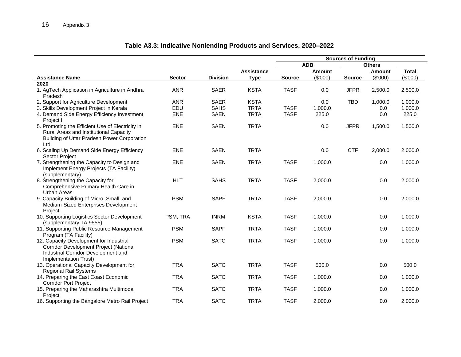# **Table A3.3: Indicative Nonlending Products and Services, 2020–2022**

|                                                                                                                                                          |               |                 |                   | <b>Sources of Funding</b> |               |               |               |              |
|----------------------------------------------------------------------------------------------------------------------------------------------------------|---------------|-----------------|-------------------|---------------------------|---------------|---------------|---------------|--------------|
|                                                                                                                                                          |               |                 |                   |                           | <b>ADB</b>    |               | <b>Others</b> |              |
|                                                                                                                                                          |               |                 | <b>Assistance</b> |                           | <b>Amount</b> |               | Amount        | <b>Total</b> |
| <b>Assistance Name</b>                                                                                                                                   | <b>Sector</b> | <b>Division</b> | <b>Type</b>       | <b>Source</b>             | (\$'000)      | <b>Source</b> | (\$'000)      | (\$'000)     |
| 2020                                                                                                                                                     |               |                 |                   |                           |               |               |               |              |
| 1. AgTech Application in Agriculture in Andhra<br>Pradesh                                                                                                | <b>ANR</b>    | <b>SAER</b>     | <b>KSTA</b>       | <b>TASF</b>               | 0.0           | <b>JFPR</b>   | 2,500.0       | 2,500.0      |
| 2. Support for Agriculture Development                                                                                                                   | <b>ANR</b>    | <b>SAER</b>     | <b>KSTA</b>       |                           | 0.0           | <b>TBD</b>    | 1,000.0       | 1,000.0      |
| 3. Skills Development Project in Kerala                                                                                                                  | EDU           | <b>SAHS</b>     | <b>TRTA</b>       | <b>TASF</b>               | 1,000.0       |               | 0.0           | 1,000.0      |
| 4. Demand Side Energy Efficiency Investment<br>Project II                                                                                                | <b>ENE</b>    | <b>SAEN</b>     | <b>TRTA</b>       | <b>TASF</b>               | 225.0         |               | 0.0           | 225.0        |
| 5. Promoting the Efficient Use of Electricity in<br>Rural Areas and Institutional Capacity<br><b>Building of Uttar Pradesh Power Corporation</b><br>Ltd. | <b>ENE</b>    | <b>SAEN</b>     | <b>TRTA</b>       |                           | 0.0           | <b>JFPR</b>   | 1,500.0       | 1,500.0      |
| 6. Scaling Up Demand Side Energy Efficiency<br><b>Sector Project</b>                                                                                     | <b>ENE</b>    | <b>SAEN</b>     | <b>TRTA</b>       |                           | 0.0           | <b>CTF</b>    | 2,000.0       | 2,000.0      |
| 7. Strengthening the Capacity to Design and<br>Implement Energy Projects (TA Facility)<br>(supplementary)                                                | <b>ENE</b>    | <b>SAEN</b>     | <b>TRTA</b>       | <b>TASF</b>               | 1,000.0       |               | 0.0           | 1,000.0      |
| 8. Strengthening the Capacity for<br>Comprehensive Primary Health Care in<br><b>Urban Areas</b>                                                          | <b>HLT</b>    | <b>SAHS</b>     | <b>TRTA</b>       | <b>TASF</b>               | 2,000.0       |               | 0.0           | 2,000.0      |
| 9. Capacity Building of Micro, Small, and<br>Medium-Sized Enterprises Development<br>Project                                                             | <b>PSM</b>    | <b>SAPF</b>     | <b>TRTA</b>       | <b>TASF</b>               | 2,000.0       |               | 0.0           | 2,000.0      |
| 10. Supporting Logistics Sector Development<br>(supplementary TA 9555)                                                                                   | PSM, TRA      | <b>INRM</b>     | <b>KSTA</b>       | <b>TASF</b>               | 1,000.0       |               | 0.0           | 1,000.0      |
| 11. Supporting Public Resource Management<br>Program (TA Facility)                                                                                       | <b>PSM</b>    | <b>SAPF</b>     | <b>TRTA</b>       | <b>TASF</b>               | 1,000.0       |               | 0.0           | 1,000.0      |
| 12. Capacity Development for Industrial<br>Corridor Development Project (National<br>Industrial Corridor Development and<br>Implementation Trust)        | <b>PSM</b>    | <b>SATC</b>     | <b>TRTA</b>       | <b>TASF</b>               | 1,000.0       |               | 0.0           | 1,000.0      |
| 13. Operational Capacity Development for<br><b>Regional Rail Systems</b>                                                                                 | <b>TRA</b>    | <b>SATC</b>     | <b>TRTA</b>       | <b>TASF</b>               | 500.0         |               | 0.0           | 500.0        |
| 14. Preparing the East Coast Economic<br><b>Corridor Port Project</b>                                                                                    | <b>TRA</b>    | <b>SATC</b>     | <b>TRTA</b>       | <b>TASF</b>               | 1,000.0       |               | 0.0           | 1,000.0      |
| 15. Preparing the Maharashtra Multimodal<br>Project                                                                                                      | <b>TRA</b>    | <b>SATC</b>     | <b>TRTA</b>       | <b>TASF</b>               | 1,000.0       |               | 0.0           | 1,000.0      |
| 16. Supporting the Bangalore Metro Rail Project                                                                                                          | <b>TRA</b>    | <b>SATC</b>     | <b>TRTA</b>       | <b>TASF</b>               | 2,000.0       |               | 0.0           | 2,000.0      |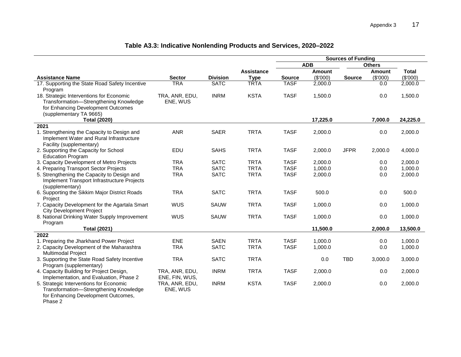|                                                                                                                                                     |                                  |                 |                   |               |            | <b>Sources of Funding</b> |               |              |
|-----------------------------------------------------------------------------------------------------------------------------------------------------|----------------------------------|-----------------|-------------------|---------------|------------|---------------------------|---------------|--------------|
|                                                                                                                                                     |                                  |                 |                   |               | <b>ADB</b> |                           | <b>Others</b> |              |
|                                                                                                                                                     |                                  |                 | <b>Assistance</b> |               | Amount     |                           | Amount        | <b>Total</b> |
| <b>Assistance Name</b>                                                                                                                              | <b>Sector</b>                    | <b>Division</b> | <b>Type</b>       | <b>Source</b> | (\$'000)   | <b>Source</b>             | (\$'000)      | (\$'000)     |
| 17. Supporting the State Road Safety Incentive<br>Program                                                                                           | <b>TRA</b>                       | <b>SATC</b>     | <b>TRTA</b>       | <b>TASF</b>   | 2,000.0    |                           | 0.0           | 2,000.0      |
| 18. Strategic Interventions for Economic<br>Transformation-Strengthening Knowledge<br>for Enhancing Development Outcomes<br>(supplementary TA 9665) | TRA, ANR, EDU,<br>ENE, WUS       | <b>INRM</b>     | <b>KSTA</b>       | <b>TASF</b>   | 1,500.0    |                           | 0.0           | 1,500.0      |
| <b>Total (2020)</b>                                                                                                                                 |                                  |                 |                   |               | 17,225.0   |                           | 7,000.0       | 24,225.0     |
| $\overline{20}21$                                                                                                                                   |                                  |                 |                   |               |            |                           |               |              |
| 1. Strengthening the Capacity to Design and<br>Implement Water and Rural Infrastructure<br>Facility (supplementary)                                 | <b>ANR</b>                       | <b>SAER</b>     | <b>TRTA</b>       | <b>TASF</b>   | 2,000.0    |                           | 0.0           | 2,000.0      |
| 2. Supporting the Capacity for School<br><b>Education Program</b>                                                                                   | EDU                              | <b>SAHS</b>     | <b>TRTA</b>       | <b>TASF</b>   | 2,000.0    | <b>JFPR</b>               | 2,000.0       | 4,000.0      |
| 3. Capacity Development of Metro Projects                                                                                                           | <b>TRA</b>                       | <b>SATC</b>     | <b>TRTA</b>       | <b>TASF</b>   | 2,000.0    |                           | 0.0           | 2,000.0      |
| 4. Preparing Transport Sector Projects                                                                                                              | <b>TRA</b>                       | <b>SATC</b>     | <b>TRTA</b>       | <b>TASF</b>   | 1,000.0    |                           | 0.0           | 1,000.0      |
| 5. Strengthening the Capacity to Design and<br>Implement Transport Infrastructure Projects<br>(supplementary)                                       | <b>TRA</b>                       | <b>SATC</b>     | <b>TRTA</b>       | <b>TASF</b>   | 2,000.0    |                           | 0.0           | 2,000.0      |
| 6. Supporting the Sikkim Major District Roads<br>Project                                                                                            | <b>TRA</b>                       | <b>SATC</b>     | <b>TRTA</b>       | <b>TASF</b>   | 500.0      |                           | 0.0           | 500.0        |
| 7. Capacity Development for the Agartala Smart<br><b>City Development Project</b>                                                                   | <b>WUS</b>                       | SAUW            | <b>TRTA</b>       | <b>TASF</b>   | 1,000.0    |                           | 0.0           | 1,000.0      |
| 8. National Drinking Water Supply Improvement                                                                                                       | <b>WUS</b>                       | SAUW            | <b>TRTA</b>       | <b>TASF</b>   | 1,000.0    |                           | 0.0           | 1,000.0      |
| Program                                                                                                                                             |                                  |                 |                   |               |            |                           |               |              |
| <b>Total (2021)</b>                                                                                                                                 |                                  |                 |                   |               | 11,500.0   |                           | 2,000.0       | 13,500.0     |
| $\frac{1}{2022}$                                                                                                                                    |                                  |                 |                   |               |            |                           |               |              |
| 1. Preparing the Jharkhand Power Project                                                                                                            | <b>ENE</b>                       | <b>SAEN</b>     | <b>TRTA</b>       | <b>TASF</b>   | 1,000.0    |                           | 0.0           | 1,000.0      |
| 2. Capacity Development of the Maharashtra                                                                                                          | <b>TRA</b>                       | <b>SATC</b>     | <b>TRTA</b>       | <b>TASF</b>   | 1,000.0    |                           | 0.0           | 1,000.0      |
| Multimodal Project<br>3. Supporting the State Road Safety Incentive<br>Program (supplementary)                                                      | <b>TRA</b>                       | <b>SATC</b>     | <b>TRTA</b>       |               | 0.0        | <b>TBD</b>                | 3,000.0       | 3,000.0      |
| 4. Capacity Building for Project Design,<br>Implementation, and Evaluation, Phase 2                                                                 | TRA, ANR, EDU,<br>ENE, FIN, WUS, | <b>INRM</b>     | <b>TRTA</b>       | <b>TASF</b>   | 2,000.0    |                           | 0.0           | 2,000.0      |
| 5. Strategic Interventions for Economic<br>Transformation-Strengthening Knowledge<br>for Enhancing Development Outcomes,<br>$D_{\text{base}} \cap$  | TRA, ANR, EDU,<br>ENE, WUS       | <b>INRM</b>     | <b>KSTA</b>       | <b>TASF</b>   | 2,000.0    |                           | 0.0           | 2,000.0      |

# **Table A3.3: Indicative Nonlending Products and Services, 2020–2022**

Phase 2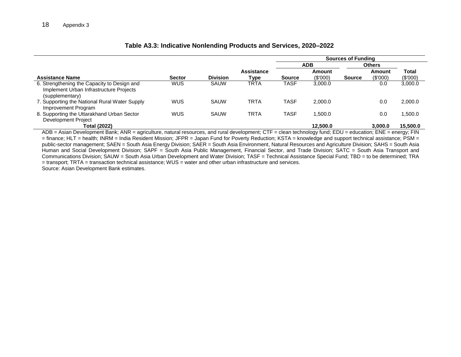#### **Table A3.3: Indicative Nonlending Products and Services, 2020–2022**

|                                               |               |                 |                   | <b>Sources of Funding</b> |            |               |               |          |
|-----------------------------------------------|---------------|-----------------|-------------------|---------------------------|------------|---------------|---------------|----------|
|                                               |               |                 |                   |                           | <b>ADB</b> |               | <b>Others</b> |          |
|                                               |               |                 | <b>Assistance</b> |                           | Amount     |               | Amount        | Total    |
| <b>Assistance Name</b>                        | <b>Sector</b> | <b>Division</b> | Type              | <b>Source</b>             | (S'000)    | <b>Source</b> | (\$'000)      | (S'000)  |
| 6. Strengthening the Capacity to Design and   | <b>WUS</b>    | <b>SAUW</b>     | <b>TRTA</b>       | <b>TASF</b>               | 3,000.0    |               | 0.0           | 3,000.0  |
| Implement Urban Infrastructure Projects       |               |                 |                   |                           |            |               |               |          |
| (supplementary)                               |               |                 |                   |                           |            |               |               |          |
| 7. Supporting the National Rural Water Supply | <b>WUS</b>    | SAUW            | <b>TRTA</b>       | <b>TASF</b>               | 2.000.0    |               | 0.0           | 2,000.0  |
| Improvement Program                           |               |                 |                   |                           |            |               |               |          |
| 8. Supporting the Uttarakhand Urban Sector    | <b>WUS</b>    | SAUW            | TRTA              | <b>TASF</b>               | 1.500.0    |               | 0.0           | 1,500.0  |
| Development Project                           |               |                 |                   |                           |            |               |               |          |
| <b>Total (2022)</b>                           |               |                 |                   |                           | 12.500.0   |               | 3.000.0       | 15,500.0 |

ADB = Asian Development Bank; ANR = agriculture, natural resources, and rural development; CTF = clean technology fund; EDU = education; ENE = energy; FIN = finance; HLT = health; INRM = India Resident Mission; JFPR = Japan Fund for Poverty Reduction; KSTA = knowledge and support technical assistance; PSM = public-sector management; SAEN = South Asia Energy Division; SAER = South Asia Environment, Natural Resources and Agriculture Division; SAHS = South Asia Human and Social Development Division; SAPF = South Asia Public Management, Financial Sector, and Trade Division; SATC = South Asia Transport and Communications Division; SAUW = South Asia Urban Development and Water Division; TASF = Technical Assistance Special Fund; TBD = to be determined; TRA = transport; TRTA = transaction technical assistance; WUS = water and other urban infrastructure and services. Source: Asian Development Bank estimates.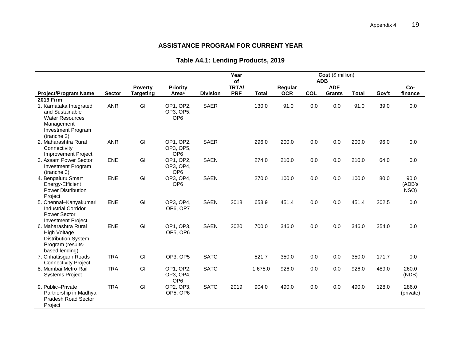### **ASSISTANCE PROGRAM FOR CURRENT YEAR**

# **Table A4.1: Lending Products, 2019**

<span id="page-22-0"></span>

|                                                                                                                                |               |                  |                                           |                 | Year         | Cost (\$ million) |            |     |               |              |       |                        |
|--------------------------------------------------------------------------------------------------------------------------------|---------------|------------------|-------------------------------------------|-----------------|--------------|-------------------|------------|-----|---------------|--------------|-------|------------------------|
|                                                                                                                                |               |                  |                                           |                 | of           |                   |            |     | <b>ADB</b>    |              |       |                        |
|                                                                                                                                |               | <b>Poverty</b>   | <b>Priority</b>                           |                 | <b>TRTA/</b> |                   | Regular    |     | <b>ADF</b>    |              |       | Co-                    |
| <b>Project/Program Name</b>                                                                                                    | <b>Sector</b> | <b>Targeting</b> | Area <sup>a</sup>                         | <b>Division</b> | <b>PRF</b>   | <b>Total</b>      | <b>OCR</b> | COL | <b>Grants</b> | <b>Total</b> | Gov't | finance                |
| <b>2019 Firm</b>                                                                                                               |               |                  |                                           |                 |              |                   |            |     |               |              |       |                        |
| 1. Karnataka Integrated<br>and Sustainable<br><b>Water Resources</b><br>Management<br><b>Investment Program</b><br>(tranche 2) | <b>ANR</b>    | GI               | OP1, OP2,<br>OP3, OP5,<br>OP <sub>6</sub> | <b>SAER</b>     |              | 130.0             | 91.0       | 0.0 | 0.0           | 91.0         | 39.0  | 0.0                    |
| 2. Maharashtra Rural<br>Connectivity<br><b>Improvement Project</b>                                                             | <b>ANR</b>    | GI               | OP1, OP2,<br>OP3, OP5,<br>OP <sub>6</sub> | <b>SAER</b>     |              | 296.0             | 200.0      | 0.0 | 0.0           | 200.0        | 96.0  | 0.0                    |
| 3. Assam Power Sector<br><b>Investment Program</b><br>(tranche 3)                                                              | <b>ENE</b>    | GI               | OP1, OP2,<br>OP3, OP4,<br>OP <sub>6</sub> | <b>SAEN</b>     |              | 274.0             | 210.0      | 0.0 | 0.0           | 210.0        | 64.0  | 0.0                    |
| 4. Bengaluru Smart<br>Energy-Efficient<br><b>Power Distribution</b><br>Project                                                 | <b>ENE</b>    | GI               | OP3, OP4,<br>OP <sub>6</sub>              | <b>SAEN</b>     |              | 270.0             | 100.0      | 0.0 | 0.0           | 100.0        | 80.0  | 90.0<br>(ADB's<br>NSO) |
| 5. Chennai-Kanyakumari<br><b>Industrial Corridor</b><br>Power Sector<br><b>Investment Project</b>                              | <b>ENE</b>    | GI               | OP3, OP4,<br>OP6, OP7                     | <b>SAEN</b>     | 2018         | 653.9             | 451.4      | 0.0 | 0.0           | 451.4        | 202.5 | 0.0                    |
| 6. Maharashtra Rural<br><b>High Voltage</b><br><b>Distribution System</b><br>Program (results-<br>based lending)               | <b>ENE</b>    | GI               | OP1, OP3,<br>OP5, OP6                     | <b>SAEN</b>     | 2020         | 700.0             | 346.0      | 0.0 | 0.0           | 346.0        | 354.0 | 0.0                    |
| 7. Chhattisgarh Roads<br><b>Connectivity Project</b>                                                                           | <b>TRA</b>    | GI               | OP3, OP5                                  | <b>SATC</b>     |              | 521.7             | 350.0      | 0.0 | 0.0           | 350.0        | 171.7 | 0.0                    |
| 8. Mumbai Metro Rail<br><b>Systems Project</b>                                                                                 | <b>TRA</b>    | GI               | OP1, OP2,<br>OP3, OP4,<br>OP <sub>6</sub> | <b>SATC</b>     |              | 1,675.0           | 926.0      | 0.0 | 0.0           | 926.0        | 489.0 | 260.0<br>(NDB)         |
| 9. Public-Private<br>Partnership in Madhya<br><b>Pradesh Road Sector</b><br>Project                                            | <b>TRA</b>    | GI               | OP2, OP3,<br>OP5, OP6                     | <b>SATC</b>     | 2019         | 904.0             | 490.0      | 0.0 | 0.0           | 490.0        | 128.0 | 286.0<br>(private)     |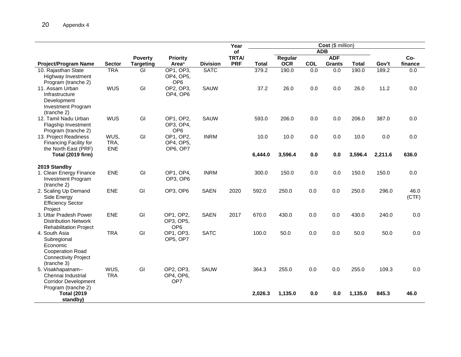|                                                                                                                   |                            |                  |                                           |                 | Year               |              |            |                  | Cost (\$ million)        |              |         |               |
|-------------------------------------------------------------------------------------------------------------------|----------------------------|------------------|-------------------------------------------|-----------------|--------------------|--------------|------------|------------------|--------------------------|--------------|---------|---------------|
|                                                                                                                   |                            | <b>Poverty</b>   | Priority                                  |                 | of<br><b>TRTA/</b> |              | Regular    |                  | <b>ADB</b><br><b>ADF</b> |              |         | Co-           |
| <b>Project/Program Name</b>                                                                                       | <b>Sector</b>              | <b>Targeting</b> | Area <sup>a</sup>                         | <b>Division</b> | <b>PRF</b>         | <b>Total</b> | <b>OCR</b> | <b>COL</b>       | <b>Grants</b>            | <b>Total</b> | Gov't   | finance       |
| 10. Rajasthan State<br>Highway Investment<br>Program (tranche 2)                                                  | <b>TRA</b>                 | GI               | OP1, OP3,<br>OP4, OP5,<br>OP <sub>6</sub> | <b>SATC</b>     |                    | 379.2        | 190.0      | $\overline{0.0}$ | $\overline{0.0}$         | 190.0        | 189.2   | 0.0           |
| 11. Assam Urban<br>Infrastructure<br>Development<br><b>Investment Program</b><br>(tranche 2)                      | <b>WUS</b>                 | GI               | OP2, OP3,<br>OP4, OP6                     | <b>SAUW</b>     |                    | 37.2         | 26.0       | 0.0              | 0.0                      | 26.0         | 11.2    | 0.0           |
| 12. Tamil Nadu Urban<br>Flagship Investment<br>Program (tranche 2)                                                | <b>WUS</b>                 | GI               | OP1, OP2,<br>OP3, OP4,<br>OP <sub>6</sub> | <b>SAUW</b>     |                    | 593.0        | 206.0      | 0.0              | 0.0                      | 206.0        | 387.0   | 0.0           |
| 13. Project Readiness<br>Financing Facility for<br>the North East (PRF)                                           | WUS,<br>TRA,<br><b>ENE</b> | GI               | OP1, OP2,<br>OP4, OP5,<br>OP6, OP7        | <b>INRM</b>     |                    | 10.0         | 10.0       | 0.0              | 0.0                      | 10.0         | 0.0     | 0.0           |
| <b>Total (2019 firm)</b>                                                                                          |                            |                  |                                           |                 |                    | 6,444.0      | 3,596.4    | $0.0\,$          | 0.0                      | 3,596.4      | 2,211.6 | 636.0         |
| 2019 Standby                                                                                                      |                            |                  |                                           |                 |                    |              |            |                  |                          |              |         |               |
| 1. Clean Energy Finance<br>Investment Program<br>(tranche 2)                                                      | ENE                        | GI               | OP1, OP4,<br>OP3, OP6                     | <b>INRM</b>     |                    | 300.0        | 150.0      | 0.0              | 0.0                      | 150.0        | 150.0   | 0.0           |
| 2. Scaling Up Demand<br>Side Energy<br><b>Efficiency Sector</b><br>Project                                        | <b>ENE</b>                 | GI               | OP3, OP6                                  | <b>SAEN</b>     | 2020               | 592.0        | 250.0      | 0.0              | 0.0                      | 250.0        | 296.0   | 46.0<br>(CTF) |
| 3. Uttar Pradesh Power<br><b>Distribution Network</b><br><b>Rehabilitation Project</b>                            | ENE                        | GI               | OP1, OP2,<br>OP3, OP5,<br>OP <sub>6</sub> | <b>SAEN</b>     | 2017               | 670.0        | 430.0      | 0.0              | 0.0                      | 430.0        | 240.0   | 0.0           |
| 4. South Asia<br>Subregional<br>Economic<br><b>Cooperation Road</b><br><b>Connectivity Project</b><br>(tranche 3) | <b>TRA</b>                 | GI               | OP1, OP3,<br>OP5, OP7                     | <b>SATC</b>     |                    | 100.0        | 50.0       | 0.0              | 0.0                      | 50.0         | 50.0    | 0.0           |
| 5. Visakhapatnam-<br>Chennai Industrial<br><b>Corridor Development</b><br>Program (tranche 2)                     | WUS,<br><b>TRA</b>         | GI               | OP2, OP3,<br>OP4, OP6,<br>OP7             | <b>SAUW</b>     |                    | 364.3        | 255.0      | 0.0              | 0.0                      | 255.0        | 109.3   | 0.0           |
| <b>Total (2019)</b><br>standby)                                                                                   |                            |                  |                                           |                 |                    | 2,026.3      | 1,135.0    | 0.0              | 0.0                      | 1,135.0      | 845.3   | 46.0          |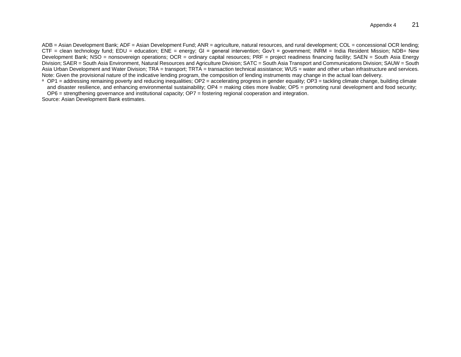ADB = Asian Development Bank; ADF = Asian Development Fund; ANR = agriculture, natural resources, and rural development; COL = concessional OCR lending; CTF = clean technology fund; EDU = education; ENE = energy; GI = general intervention; Gov't = government; INRM = India Resident Mission; NDB= New Development Bank; NSO = nonsovereign operations; OCR = ordinary capital resources; PRF = project readiness financing facility; SAEN = South Asia Energy Division; SAER = South Asia Environment, Natural Resources and Agriculture Division; SATC = South Asia Transport and Communications Division; SAUW = South Asia Urban Development and Water Division; TRA = transport; TRTA = transaction technical assistance; WUS = water and other urban infrastructure and services. Note: Given the provisional nature of the indicative lending program, the composition of lending instruments may change in the actual loan delivery.

<sup>a</sup> OP1 = addressing remaining poverty and reducing inequalities; OP2 = accelerating progress in gender equality; OP3 = tackling climate change, building climate and disaster resilience, and enhancing environmental sustainability; OP4 = making cities more livable; OP5 = promoting rural development and food security; OP6 = strengthening governance and institutional capacity; OP7 = fostering regional cooperation and integration.

Source: Asian Development Bank estimates.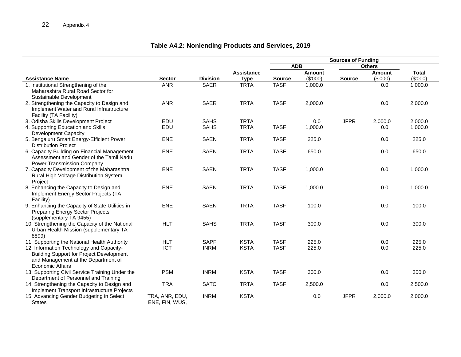# **Table A4.2: Nonlending Products and Services, 2019**

|                                                                   |                |                 |                   |               |               | <b>Sources of Funding</b> |               |              |
|-------------------------------------------------------------------|----------------|-----------------|-------------------|---------------|---------------|---------------------------|---------------|--------------|
|                                                                   |                |                 |                   | <b>ADB</b>    |               |                           | <b>Others</b> |              |
|                                                                   |                |                 | <b>Assistance</b> |               | <b>Amount</b> |                           | Amount        | <b>Total</b> |
| <b>Assistance Name</b>                                            | <b>Sector</b>  | <b>Division</b> | <b>Type</b>       | <b>Source</b> | (\$'000)      | <b>Source</b>             | (\$'000)      | (\$'000)     |
| 1. Institutional Strengthening of the                             | <b>ANR</b>     | <b>SAER</b>     | <b>TRTA</b>       | <b>TASF</b>   | 1,000.0       |                           | 0.0           | 1,000.0      |
| Maharashtra Rural Road Sector for                                 |                |                 |                   |               |               |                           |               |              |
| Sustainable Development                                           |                |                 |                   |               |               |                           |               |              |
| 2. Strengthening the Capacity to Design and                       | <b>ANR</b>     | <b>SAER</b>     | <b>TRTA</b>       | <b>TASF</b>   | 2,000.0       |                           | 0.0           | 2,000.0      |
| Implement Water and Rural Infrastructure                          |                |                 |                   |               |               |                           |               |              |
| Facility (TA Facility)                                            |                |                 |                   |               |               |                           |               |              |
| 3. Odisha Skills Development Project                              | EDU            | <b>SAHS</b>     | <b>TRTA</b>       |               | 0.0           | <b>JFPR</b>               | 2,000.0       | 2,000.0      |
| 4. Supporting Education and Skills<br><b>Development Capacity</b> | EDU            | <b>SAHS</b>     | <b>TRTA</b>       | <b>TASF</b>   | 1,000.0       |                           | 0.0           | 1,000.0      |
| 5. Bengaluru Smart Energy-Efficient Power                         | <b>ENE</b>     | <b>SAEN</b>     | <b>TRTA</b>       | <b>TASF</b>   |               |                           |               |              |
| <b>Distribution Project</b>                                       |                |                 |                   |               | 225.0         |                           | 0.0           | 225.0        |
| 6. Capacity Building on Financial Management                      | ENE            | <b>SAEN</b>     | <b>TRTA</b>       | <b>TASF</b>   | 650.0         |                           | 0.0           | 650.0        |
| Assessment and Gender of the Tamil Nadu                           |                |                 |                   |               |               |                           |               |              |
| <b>Power Transmission Company</b>                                 |                |                 |                   |               |               |                           |               |              |
| 7. Capacity Development of the Maharashtra                        | <b>ENE</b>     | <b>SAEN</b>     | <b>TRTA</b>       | <b>TASF</b>   | 1,000.0       |                           | 0.0           | 1,000.0      |
| Rural High Voltage Distribution System                            |                |                 |                   |               |               |                           |               |              |
| Project                                                           |                |                 |                   |               |               |                           |               |              |
| 8. Enhancing the Capacity to Design and                           | <b>ENE</b>     | <b>SAEN</b>     | <b>TRTA</b>       | <b>TASF</b>   | 1,000.0       |                           | 0.0           | 1,000.0      |
| Implement Energy Sector Projects (TA                              |                |                 |                   |               |               |                           |               |              |
| Facility)                                                         |                |                 |                   |               |               |                           |               |              |
| 9. Enhancing the Capacity of State Utilities in                   | ENE            | <b>SAEN</b>     | <b>TRTA</b>       | <b>TASF</b>   | 100.0         |                           | 0.0           | 100.0        |
| Preparing Energy Sector Projects                                  |                |                 |                   |               |               |                           |               |              |
| (supplementary TA 9455)                                           |                |                 |                   |               |               |                           |               |              |
| 10. Strengthening the Capacity of the National                    | <b>HLT</b>     | <b>SAHS</b>     | <b>TRTA</b>       | <b>TASF</b>   | 300.0         |                           | 0.0           | 300.0        |
| Urban Health Mission (supplementary TA                            |                |                 |                   |               |               |                           |               |              |
| 8899)                                                             |                |                 |                   |               |               |                           |               |              |
| 11. Supporting the National Health Authority                      | <b>HLT</b>     | <b>SAPF</b>     | <b>KSTA</b>       | <b>TASF</b>   | 225.0         |                           | 0.0           | 225.0        |
| 12. Information Technology and Capacity-                          | ICT            | <b>INRM</b>     | <b>KSTA</b>       | <b>TASF</b>   | 225.0         |                           | 0.0           | 225.0        |
| <b>Building Support for Project Development</b>                   |                |                 |                   |               |               |                           |               |              |
| and Management at the Department of                               |                |                 |                   |               |               |                           |               |              |
| <b>Economic Affairs</b>                                           |                |                 |                   |               |               |                           |               |              |
| 13. Supporting Civil Service Training Under the                   | <b>PSM</b>     | <b>INRM</b>     | <b>KSTA</b>       | <b>TASF</b>   | 300.0         |                           | 0.0           | 300.0        |
| Department of Personnel and Training                              |                |                 |                   |               |               |                           |               |              |
| 14. Strengthening the Capacity to Design and                      | <b>TRA</b>     | <b>SATC</b>     | <b>TRTA</b>       | <b>TASF</b>   | 2,500.0       |                           | 0.0           | 2,500.0      |
| Implement Transport Infrastructure Projects                       |                |                 |                   |               |               |                           |               |              |
| 15. Advancing Gender Budgeting in Select                          | TRA, ANR, EDU, | <b>INRM</b>     | <b>KSTA</b>       |               | 0.0           | <b>JFPR</b>               | 2,000.0       | 2,000.0      |
| <b>States</b>                                                     | ENE, FIN, WUS, |                 |                   |               |               |                           |               |              |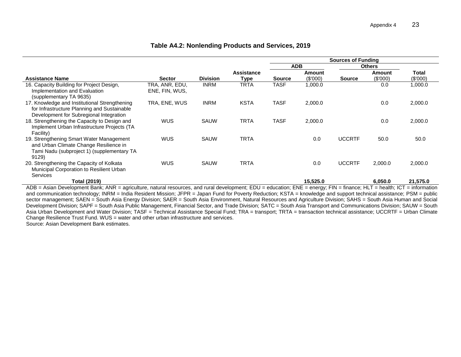#### **Table A4.2: Nonlending Products and Services, 2019**

|                                                             |                                                                              |                 |                   | <b>Sources of Funding</b> |                     |               |                                                                                    |                              |
|-------------------------------------------------------------|------------------------------------------------------------------------------|-----------------|-------------------|---------------------------|---------------------|---------------|------------------------------------------------------------------------------------|------------------------------|
|                                                             |                                                                              |                 |                   | <b>ADB</b>                |                     |               | <b>Others</b>                                                                      |                              |
|                                                             |                                                                              |                 | <b>Assistance</b> |                           | Amount              |               | <b>Amount</b>                                                                      | Total                        |
| <b>Assistance Name</b>                                      | <b>Sector</b>                                                                | <b>Division</b> | Type              | <b>Source</b>             | (S'000)             | <b>Source</b> | (\$'000)                                                                           | (\$'000)                     |
| 16. Capacity Building for Project Design,                   | TRA, ANR, EDU,                                                               | <b>INRM</b>     | <b>TRTA</b>       | <b>TASF</b>               | 1,000.0             |               | 0.0                                                                                | 1,000.0                      |
| Implementation and Evaluation                               | ENE, FIN, WUS,                                                               |                 |                   |                           |                     |               |                                                                                    |                              |
| (supplementary TA 9635)                                     |                                                                              |                 |                   |                           |                     |               |                                                                                    |                              |
| 17. Knowledge and Institutional Strengthening               | TRA, ENE, WUS                                                                | <b>INRM</b>     | <b>KSTA</b>       | <b>TASF</b>               | 2,000.0             |               | 0.0                                                                                | 2,000.0                      |
| for Infrastructure Planning and Sustainable                 |                                                                              |                 |                   |                           |                     |               |                                                                                    |                              |
| Development for Subregional Integration                     |                                                                              |                 |                   |                           |                     |               |                                                                                    |                              |
| 18. Strengthening the Capacity to Design and                | <b>WUS</b>                                                                   | SAUW            | TRTA              | <b>TASF</b>               | 2,000.0             |               | 0.0                                                                                | 2,000.0                      |
| Implement Urban Infrastructure Projects (TA                 |                                                                              |                 |                   |                           |                     |               |                                                                                    |                              |
| Facility)                                                   |                                                                              |                 |                   |                           |                     |               |                                                                                    |                              |
| 19. Strengthening Smart Water Management                    | <b>WUS</b>                                                                   | <b>SAUW</b>     | <b>TRTA</b>       |                           | 0.0                 | <b>UCCRTF</b> | 50.0                                                                               | 50.0                         |
| and Urban Climate Change Resilience in                      |                                                                              |                 |                   |                           |                     |               |                                                                                    |                              |
| Tami Nadu (subproject 1) (supplementary TA                  |                                                                              |                 |                   |                           |                     |               |                                                                                    |                              |
| 9129)                                                       | <b>WUS</b>                                                                   | <b>SAUW</b>     | <b>TRTA</b>       |                           | 0.0                 | <b>UCCRTF</b> |                                                                                    |                              |
| 20. Strengthening the Capacity of Kolkata                   |                                                                              |                 |                   |                           |                     |               | 2,000.0                                                                            | 2,000.0                      |
| Municipal Corporation to Resilient Urban<br><b>Services</b> |                                                                              |                 |                   |                           |                     |               |                                                                                    |                              |
| <b>Total (2019)</b>                                         |                                                                              |                 |                   |                           | 15,525.0            |               | 6.050.0                                                                            | 21,575.0                     |
| ADD Asian Davelanges at Dank: AND                           | TNE CONSUMING A SUBSIDIARY CONTINUES AND INTERFERING A SUBSIDIARY CONTINUES. |                 |                   |                           | <b>AMARAGE CIAL</b> |               | $E_{\text{meas}}$ and $E = \frac{1}{2}$ if $T = \frac{1}{2}$ and $E = \frac{1}{2}$ | the first come in this case. |

ADB = Asian Development Bank; ANR = agriculture, natural resources, and rural development; EDU = education; ENE = energy; FIN = finance; HLT = health; ICT = information and communication technology; INRM = India Resident Mission; JFPR = Japan Fund for Poverty Reduction; KSTA = knowledge and support technical assistance; PSM = public sector management; SAEN = South Asia Energy Division; SAER = South Asia Environment, Natural Resources and Agriculture Division; SAHS = South Asia Human and Social Development Division; SAPF = South Asia Public Management, Financial Sector, and Trade Division; SATC = South Asia Transport and Communications Division; SAUW = South Asia Urban Development and Water Division; TASF = Technical Assistance Special Fund; TRA = transport; TRTA = transaction technical assistance; UCCRTF = Urban Climate Change Resilience Trust Fund. WUS = water and other urban infrastructure and services.

Source: Asian Development Bank estimates.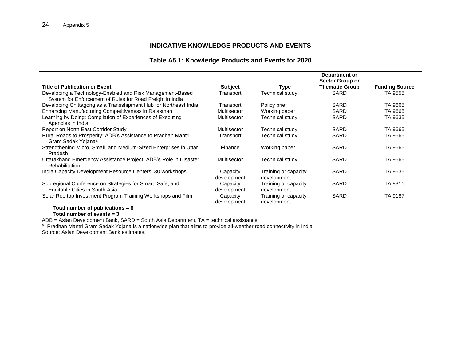### **INDICATIVE KNOWLEDGE PRODUCTS AND EVENTS**

### **Table A5.1: Knowledge Products and Events for 2020**

|                                                                                                 |                         |                                     | Department or          |                       |
|-------------------------------------------------------------------------------------------------|-------------------------|-------------------------------------|------------------------|-----------------------|
|                                                                                                 |                         |                                     | <b>Sector Group or</b> |                       |
| <b>Title of Publication or Event</b>                                                            | <b>Subject</b>          | Type                                | <b>Thematic Group</b>  | <b>Funding Source</b> |
| Developing a Technology-Enabled and Risk Management-Based                                       | Transport               | Technical study                     | SARD                   | TA 9555               |
| System for Enforcement of Rules for Road Freight in India                                       |                         |                                     |                        |                       |
| Developing Chittagong as a Transshipment Hub for Northeast India                                | Transport               | Policy brief                        | SARD                   | TA 9665               |
| Enhancing Manufacturing Competitiveness in Rajasthan                                            | Multisector             | Working paper                       | SARD                   | TA 9665               |
| Learning by Doing: Compilation of Experiences of Executing                                      | Multisector             | Technical study                     | SARD                   | TA 9635               |
| Agencies in India                                                                               |                         |                                     |                        |                       |
| Report on North East Corridor Study                                                             | Multisector             | Technical study                     | SARD                   | TA 9665               |
| Rural Roads to Prosperity: ADB's Assistance to Pradhan Mantri<br>Gram Sadak Yojana <sup>a</sup> | Transport               | Technical study                     | SARD                   | TA 9665               |
| Strengthening Micro, Small, and Medium-Sized Enterprises in Uttar<br>Pradesh                    | Finance                 | Working paper                       | SARD                   | TA 9665               |
| Uttarakhand Emergency Assistance Project: ADB's Role in Disaster<br><b>Rehabilitation</b>       | Multisector             | Technical study                     | SARD                   | TA 9665               |
| India Capacity Development Resource Centers: 30 workshops                                       | Capacity<br>development | Training or capacity<br>development | <b>SARD</b>            | TA 9635               |
| Subregional Conference on Strategies for Smart, Safe, and<br>Equitable Cities in South Asia     | Capacity<br>development | Training or capacity<br>development | SARD                   | TA 8311               |
| Solar Rooftop Investment Program Training Workshops and Film                                    | Capacity<br>development | Training or capacity<br>development | SARD                   | TA 9187               |
| Total number of publications = $8$                                                              |                         |                                     |                        |                       |

<span id="page-27-0"></span>**Total number of events = 3**

ADB = Asian Development Bank, SARD = South Asia Department, TA = technical assistance.

<sup>a</sup> Pradhan Mantri Gram Sadak Yojana is a nationwide plan that aims to provide all-weather road connectivity in India. Source: Asian Development Bank estimates.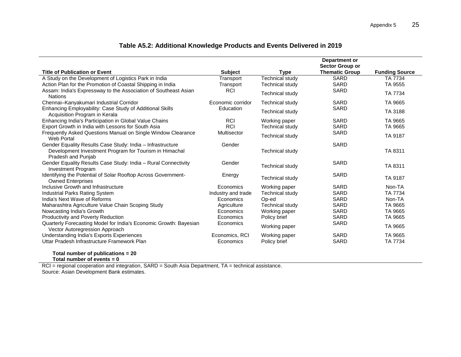|                                                                                                                                            |                    |                        | <b>Department or</b>                            |                       |
|--------------------------------------------------------------------------------------------------------------------------------------------|--------------------|------------------------|-------------------------------------------------|-----------------------|
| <b>Title of Publication or Event</b>                                                                                                       | <b>Subject</b>     | <b>Type</b>            | <b>Sector Group or</b><br><b>Thematic Group</b> | <b>Funding Source</b> |
| A Study on the Development of Logistics Park in India                                                                                      | Transport          | <b>Technical study</b> | SARD                                            | TA 7734               |
| Action Plan for the Promotion of Coastal Shipping in India                                                                                 | Transport          | <b>Technical study</b> | <b>SARD</b>                                     | TA 9555               |
| Assam: India's Expressway to the Association of Southeast Asian<br><b>Nations</b>                                                          | <b>RCI</b>         | <b>Technical study</b> | <b>SARD</b>                                     | TA 7734               |
| Chennai-Kanyakumari Industrial Corridor                                                                                                    | Economic corridor  | <b>Technical study</b> | <b>SARD</b>                                     | TA 9665               |
| Enhancing Employability: Case Study of Additional Skills<br>Acquisition Program in Kerala                                                  | Education          | <b>Technical study</b> | SARD                                            | TA 3188               |
| Enhancing India's Participation in Global Value Chains                                                                                     | <b>RCI</b>         | Working paper          | <b>SARD</b>                                     | TA 9665               |
| Export Growth in India with Lessons for South Asia                                                                                         | <b>RCI</b>         | <b>Technical study</b> | SARD                                            | TA 9665               |
| Frequently Asked Questions Manual on Single Window Clearance<br>Web Portal                                                                 | Multisector        | <b>Technical study</b> | <b>SARD</b>                                     | TA 9187               |
| Gender Equality Results Case Study: India - Infrastructure<br>Development Investment Program for Tourism in Himachal<br>Pradesh and Punjab | Gender             | <b>Technical study</b> | <b>SARD</b>                                     | TA 8311               |
| Gender Equality Results Case Study: India - Rural Connectivity<br><b>Investment Program</b>                                                | Gender             | Technical study        | <b>SARD</b>                                     | TA 8311               |
| Identifying the Potential of Solar Rooftop Across Government-<br><b>Owned Enterprises</b>                                                  | Energy             | <b>Technical study</b> | SARD                                            | TA 9187               |
| Inclusive Growth and Infrastructure                                                                                                        | Economics          | Working paper          | <b>SARD</b>                                     | Non-TA                |
| <b>Industrial Parks Rating System</b>                                                                                                      | Industry and trade | <b>Technical study</b> | <b>SARD</b>                                     | TA 7734               |
| India's Next Wave of Reforms                                                                                                               | Economics          | Op-ed                  | <b>SARD</b>                                     | Non-TA                |
| Maharashtra Agriculture Value Chain Scoping Study                                                                                          | Agriculture        | <b>Technical study</b> | SARD                                            | TA 9665               |
| Nowcasting India's Growth                                                                                                                  | Economics          | Working paper          | <b>SARD</b>                                     | TA 9665               |
| Productivity and Poverty Reduction                                                                                                         | Economics          | Policy brief           | <b>SARD</b>                                     | TA 9665               |
| Quarterly Forecasting Model for India's Economic Growth: Bayesian<br>Vector Autoregression Approach                                        | Economics          | Working paper          | SARD                                            | TA 9665               |
| Understanding India's Exports Experiences                                                                                                  | Economics, RCI     | Working paper          | SARD                                            | TA 9665               |
| Uttar Pradesh Infrastructure Framework Plan                                                                                                | Economics          | Policy brief           | SARD                                            | TA 7734               |

#### **Table A5.2: Additional Knowledge Products and Events Delivered in 2019**

#### **Total number of publications = 20 Total number of events = 0**

RCI = regional cooperation and integration, SARD = South Asia Department, TA = technical assistance. Source: Asian Development Bank estimates.